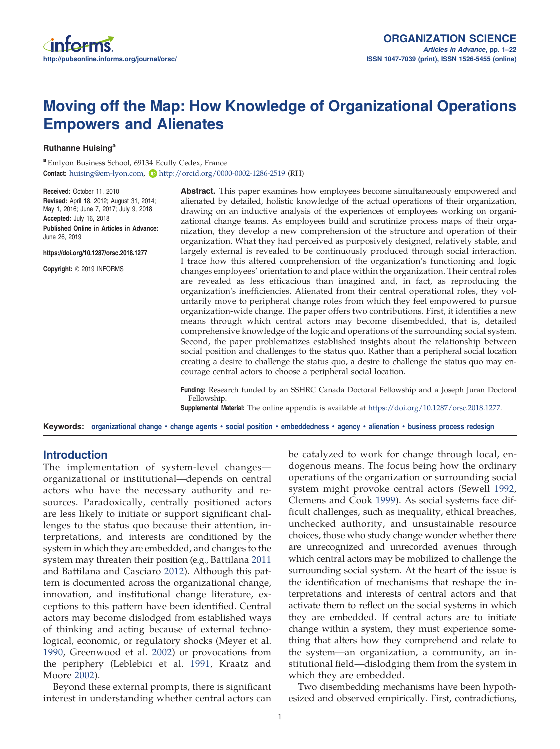# Moving off the Map: How Knowledge of Organizational Operations Empowers and Alienates

Ruthanne Huising<sup>a</sup>

<sup>a</sup> Emlyon Business School, 69134 Ecully Cedex, France Contact: huising@em-lyon.com, Dhttp://orcid.org/0000-0002-1286-2519 (RH)

Received: October 11, 2010 Revised: April 18, 2012; August 31, 2014; May 1, 2016; June 7, 2017; July 9, 2018 Accepted: July 16, 2018 Published Online in Articles in Advance: June 26, 2019 https://doi.org/10.1287/orsc.2018.1277 Copyright: © 2019 INFORMS Abstract. This paper examines how employees become simultaneously empowered and alienated by detailed, holistic knowledge of the actual operations of their organization, drawing on an inductive analysis of the experiences of employees working on organizational change teams. As employees build and scrutinize process maps of their organization, they develop a new comprehension of the structure and operation of their organization. What they had perceived as purposively designed, relatively stable, and largely external is revealed to be continuously produced through social interaction. I trace how this altered comprehension of the organization's functioning and logic changes employees' orientation to and place within the organization. Their central roles are revealed as less efficacious than imagined and, in fact, as reproducing the organization's inefficiencies. Alienated from their central operational roles, they voluntarily move to peripheral change roles from which they feel empowered to pursue organization-wide change. The paper offers two contributions. First, it identifies a new means through which central actors may become disembedded, that is, detailed comprehensive knowledge of the logic and operations of the surrounding social system. Second, the paper problematizes established insights about the relationship between social position and challenges to the status quo. Rather than a peripheral social location creating a desire to challenge the status quo, a desire to challenge the status quo may en-

> Funding: Research funded by an SSHRC Canada Doctoral Fellowship and a Joseph Juran Doctoral Fellowship.

Supplemental Material: The online appendix is available at https://doi.org/10.1287/orsc.2018.1277.

Keywords: organizational change • change agents • social position • embeddedness • agency • alienation • business process redesign

courage central actors to choose a peripheral social location.

# Introduction

The implementation of system-level changes organizational or institutional—depends on central actors who have the necessary authority and resources. Paradoxically, centrally positioned actors are less likely to initiate or support significant challenges to the status quo because their attention, interpretations, and interests are conditioned by the system in which they are embedded, and changes to the system may threaten their position (e.g., Battilana 2011 and Battilana and Casciaro 2012). Although this pattern is documented across the organizational change, innovation, and institutional change literature, exceptions to this pattern have been identified. Central actors may become dislodged from established ways of thinking and acting because of external technological, economic, or regulatory shocks (Meyer et al. 1990, Greenwood et al. 2002) or provocations from the periphery (Leblebici et al. 1991, Kraatz and Moore 2002).

Beyond these external prompts, there is significant interest in understanding whether central actors can be catalyzed to work for change through local, endogenous means. The focus being how the ordinary operations of the organization or surrounding social system might provoke central actors (Sewell 1992, Clemens and Cook 1999). As social systems face difficult challenges, such as inequality, ethical breaches, unchecked authority, and unsustainable resource choices, those who study change wonder whether there are unrecognized and unrecorded avenues through which central actors may be mobilized to challenge the surrounding social system. At the heart of the issue is the identification of mechanisms that reshape the interpretations and interests of central actors and that activate them to reflect on the social systems in which they are embedded. If central actors are to initiate change within a system, they must experience something that alters how they comprehend and relate to the system—an organization, a community, an institutional field—dislodging them from the system in which they are embedded.

Two disembedding mechanisms have been hypothesized and observed empirically. First, contradictions,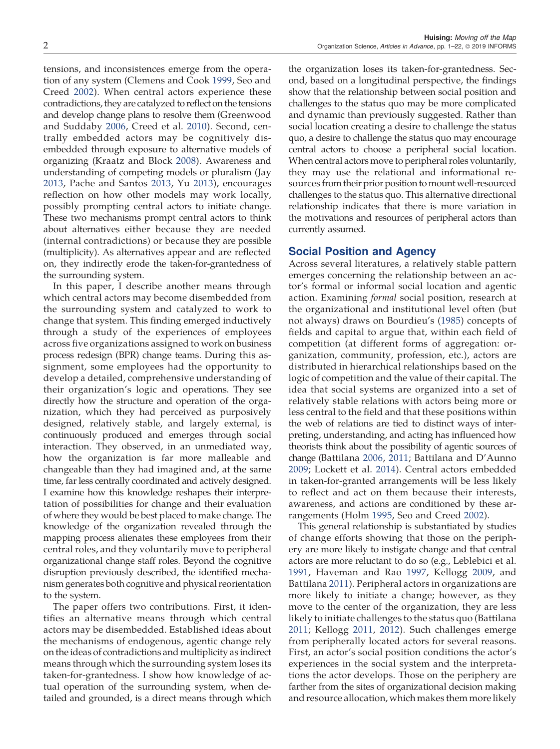tensions, and inconsistences emerge from the operation of any system (Clemens and Cook 1999, Seo and Creed 2002). When central actors experience these contradictions, they are catalyzed to reflect on the tensions and develop change plans to resolve them (Greenwood and Suddaby 2006, Creed et al. 2010). Second, centrally embedded actors may be cognitively disembedded through exposure to alternative models of organizing (Kraatz and Block 2008). Awareness and understanding of competing models or pluralism (Jay 2013, Pache and Santos 2013, Yu 2013), encourages reflection on how other models may work locally, possibly prompting central actors to initiate change. These two mechanisms prompt central actors to think about alternatives either because they are needed (internal contradictions) or because they are possible (multiplicity). As alternatives appear and are reflected on, they indirectly erode the taken-for-grantedness of the surrounding system.

In this paper, I describe another means through which central actors may become disembedded from the surrounding system and catalyzed to work to change that system. This finding emerged inductively through a study of the experiences of employees across five organizations assigned to work on business process redesign (BPR) change teams. During this assignment, some employees had the opportunity to develop a detailed, comprehensive understanding of their organization's logic and operations. They see directly how the structure and operation of the organization, which they had perceived as purposively designed, relatively stable, and largely external, is continuously produced and emerges through social interaction. They observed, in an unmediated way, how the organization is far more malleable and changeable than they had imagined and, at the same time, far less centrally coordinated and actively designed. I examine how this knowledge reshapes their interpretation of possibilities for change and their evaluation of where they would be best placed to make change. The knowledge of the organization revealed through the mapping process alienates these employees from their central roles, and they voluntarily move to peripheral organizational change staff roles. Beyond the cognitive disruption previously described, the identified mechanism generates both cognitive and physical reorientation to the system.

The paper offers two contributions. First, it identifies an alternative means through which central actors may be disembedded. Established ideas about the mechanisms of endogenous, agentic change rely on the ideas of contradictions and multiplicity as indirect means through which the surrounding system loses its taken-for-grantedness. I show how knowledge of actual operation of the surrounding system, when detailed and grounded, is a direct means through which

the organization loses its taken-for-grantedness. Second, based on a longitudinal perspective, the findings show that the relationship between social position and challenges to the status quo may be more complicated and dynamic than previously suggested. Rather than social location creating a desire to challenge the status quo, a desire to challenge the status quo may encourage central actors to choose a peripheral social location. When central actors move to peripheral roles voluntarily, they may use the relational and informational resources from their prior position to mount well-resourced challenges to the status quo. This alternative directional relationship indicates that there is more variation in the motivations and resources of peripheral actors than currently assumed.

## Social Position and Agency

Across several literatures, a relatively stable pattern emerges concerning the relationship between an actor's formal or informal social location and agentic action. Examining *formal* social position, research at the organizational and institutional level often (but not always) draws on Bourdieu's (1985) concepts of fields and capital to argue that, within each field of competition (at different forms of aggregation: organization, community, profession, etc.), actors are distributed in hierarchical relationships based on the logic of competition and the value of their capital. The idea that social systems are organized into a set of relatively stable relations with actors being more or less central to the field and that these positions within the web of relations are tied to distinct ways of interpreting, understanding, and acting has influenced how theorists think about the possibility of agentic sources of change (Battilana 2006, 2011; Battilana and D'Aunno 2009; Lockett et al. 2014). Central actors embedded in taken-for-granted arrangements will be less likely to reflect and act on them because their interests, awareness, and actions are conditioned by these arrangements (Holm 1995, Seo and Creed 2002).

This general relationship is substantiated by studies of change efforts showing that those on the periphery are more likely to instigate change and that central actors are more reluctant to do so (e.g., Leblebici et al. 1991, Haveman and Rao 1997, Kellogg 2009, and Battilana 2011). Peripheral actors in organizations are more likely to initiate a change; however, as they move to the center of the organization, they are less likely to initiate challenges to the status quo (Battilana 2011; Kellogg 2011, 2012). Such challenges emerge from peripherally located actors for several reasons. First, an actor's social position conditions the actor's experiences in the social system and the interpretations the actor develops. Those on the periphery are farther from the sites of organizational decision making and resource allocation, which makes them more likely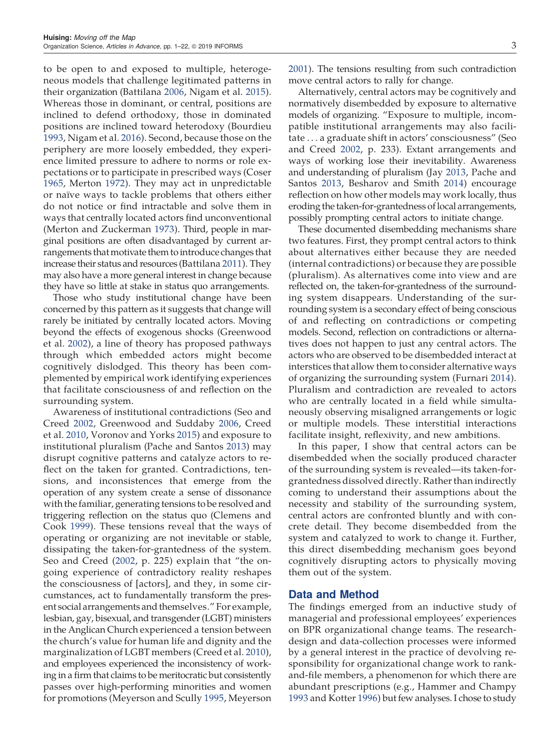to be open to and exposed to multiple, heterogeneous models that challenge legitimated patterns in their organization (Battilana 2006, Nigam et al. 2015). Whereas those in dominant, or central, positions are inclined to defend orthodoxy, those in dominated positions are inclined toward heterodoxy (Bourdieu 1993, Nigam et al. 2016). Second, because those on the periphery are more loosely embedded, they experience limited pressure to adhere to norms or role expectations or to participate in prescribed ways (Coser 1965, Merton 1972). They may act in unpredictable or naïve ways to tackle problems that others either do not notice or find intractable and solve them in ways that centrally located actors find unconventional (Merton and Zuckerman 1973). Third, people in marginal positions are often disadvantaged by current arrangements that motivate them to introduce changes that increase their status and resources (Battilana 2011). They may also have a more general interest in change because they have so little at stake in status quo arrangements.

Those who study institutional change have been concerned by this pattern as it suggests that change will rarely be initiated by centrally located actors. Moving beyond the effects of exogenous shocks (Greenwood et al. 2002), a line of theory has proposed pathways through which embedded actors might become cognitively dislodged. This theory has been complemented by empirical work identifying experiences that facilitate consciousness of and reflection on the surrounding system.

Awareness of institutional contradictions (Seo and Creed 2002, Greenwood and Suddaby 2006, Creed et al. 2010, Voronov and Yorks 2015) and exposure to institutional pluralism (Pache and Santos 2013) may disrupt cognitive patterns and catalyze actors to reflect on the taken for granted. Contradictions, tensions, and inconsistences that emerge from the operation of any system create a sense of dissonance with the familiar, generating tensions to be resolved and triggering reflection on the status quo (Clemens and Cook 1999). These tensions reveal that the ways of operating or organizing are not inevitable or stable, dissipating the taken-for-grantedness of the system. Seo and Creed (2002, p. 225) explain that "the ongoing experience of contradictory reality reshapes the consciousness of [actors], and they, in some circumstances, act to fundamentally transform the present social arrangements and themselves." For example, lesbian, gay, bisexual, and transgender (LGBT) ministers in the Anglican Church experienced a tension between the church's value for human life and dignity and the marginalization of LGBT members (Creed et al. 2010), and employees experienced the inconsistency of working in a firm that claims to be meritocratic but consistently passes over high-performing minorities and women for promotions (Meyerson and Scully 1995, Meyerson 2001). The tensions resulting from such contradiction move central actors to rally for change.

Alternatively, central actors may be cognitively and normatively disembedded by exposure to alternative models of organizing. "Exposure to multiple, incompatible institutional arrangements may also facilitate . . . a graduate shift in actors' consciousness" (Seo and Creed 2002, p. 233). Extant arrangements and ways of working lose their inevitability. Awareness and understanding of pluralism (Jay 2013, Pache and Santos 2013, Besharov and Smith 2014) encourage reflection on how other models may work locally, thus eroding the taken-for-grantedness of local arrangements, possibly prompting central actors to initiate change.

These documented disembedding mechanisms share two features. First, they prompt central actors to think about alternatives either because they are needed (internal contradictions) or because they are possible (pluralism). As alternatives come into view and are reflected on, the taken-for-grantedness of the surrounding system disappears. Understanding of the surrounding system is a secondary effect of being conscious of and reflecting on contradictions or competing models. Second, reflection on contradictions or alternatives does not happen to just any central actors. The actors who are observed to be disembedded interact at interstices that allow them to consider alternative ways of organizing the surrounding system (Furnari 2014). Pluralism and contradiction are revealed to actors who are centrally located in a field while simultaneously observing misaligned arrangements or logic or multiple models. These interstitial interactions facilitate insight, reflexivity, and new ambitions.

In this paper, I show that central actors can be disembedded when the socially produced character of the surrounding system is revealed—its taken-forgrantedness dissolved directly. Rather than indirectly coming to understand their assumptions about the necessity and stability of the surrounding system, central actors are confronted bluntly and with concrete detail. They become disembedded from the system and catalyzed to work to change it. Further, this direct disembedding mechanism goes beyond cognitively disrupting actors to physically moving them out of the system.

## Data and Method

The findings emerged from an inductive study of managerial and professional employees' experiences on BPR organizational change teams. The researchdesign and data-collection processes were informed by a general interest in the practice of devolving responsibility for organizational change work to rankand-file members, a phenomenon for which there are abundant prescriptions (e.g., Hammer and Champy 1993 and Kotter 1996) but few analyses. I chose to study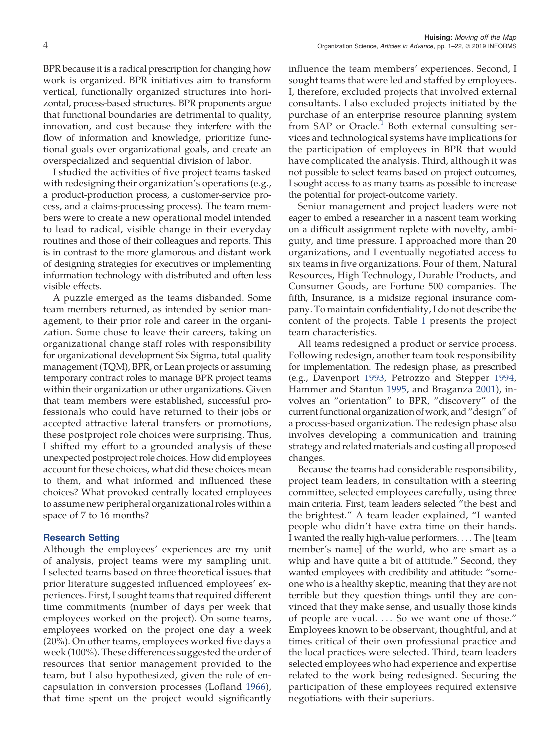BPR because it is a radical prescription for changing how work is organized. BPR initiatives aim to transform vertical, functionally organized structures into horizontal, process-based structures. BPR proponents argue that functional boundaries are detrimental to quality, innovation, and cost because they interfere with the flow of information and knowledge, prioritize functional goals over organizational goals, and create an overspecialized and sequential division of labor.

I studied the activities of five project teams tasked with redesigning their organization's operations (e.g., a product-production process, a customer-service process, and a claims-processing process). The team members were to create a new operational model intended to lead to radical, visible change in their everyday routines and those of their colleagues and reports. This is in contrast to the more glamorous and distant work of designing strategies for executives or implementing information technology with distributed and often less visible effects.

A puzzle emerged as the teams disbanded. Some team members returned, as intended by senior management, to their prior role and career in the organization. Some chose to leave their careers, taking on organizational change staff roles with responsibility for organizational development Six Sigma, total quality management (TQM), BPR, or Lean projects or assuming temporary contract roles to manage BPR project teams within their organization or other organizations. Given that team members were established, successful professionals who could have returned to their jobs or accepted attractive lateral transfers or promotions, these postproject role choices were surprising. Thus, I shifted my effort to a grounded analysis of these unexpected postproject role choices. How did employees account for these choices, what did these choices mean to them, and what informed and influenced these choices? What provoked centrally located employees to assume new peripheral organizational roles within a space of 7 to 16 months?

#### Research Setting

Although the employees' experiences are my unit of analysis, project teams were my sampling unit. I selected teams based on three theoretical issues that prior literature suggested influenced employees' experiences. First, I sought teams that required different time commitments (number of days per week that employees worked on the project). On some teams, employees worked on the project one day a week (20%). On other teams, employees worked five days a week (100%). These differences suggested the order of resources that senior management provided to the team, but I also hypothesized, given the role of encapsulation in conversion processes (Lofland 1966), that time spent on the project would significantly

influence the team members' experiences. Second, I sought teams that were led and staffed by employees. I, therefore, excluded projects that involved external consultants. I also excluded projects initiated by the purchase of an enterprise resource planning system from SAP or Oracle.<sup>1</sup> Both external consulting services and technological systems have implications for the participation of employees in BPR that would have complicated the analysis. Third, although it was not possible to select teams based on project outcomes, I sought access to as many teams as possible to increase the potential for project-outcome variety.

Senior management and project leaders were not eager to embed a researcher in a nascent team working on a difficult assignment replete with novelty, ambiguity, and time pressure. I approached more than 20 organizations, and I eventually negotiated access to six teams in five organizations. Four of them, Natural Resources, High Technology, Durable Products, and Consumer Goods, are Fortune 500 companies. The fifth, Insurance, is a midsize regional insurance company. To maintain confidentiality, I do not describe the content of the projects. Table 1 presents the project team characteristics.

All teams redesigned a product or service process. Following redesign, another team took responsibility for implementation. The redesign phase, as prescribed (e.g., Davenport 1993, Petrozzo and Stepper 1994, Hammer and Stanton 1995, and Braganza 2001), involves an "orientation" to BPR, "discovery" of the current functional organization of work, and"design" of a process-based organization. The redesign phase also involves developing a communication and training strategy and related materials and costing all proposed changes.

Because the teams had considerable responsibility, project team leaders, in consultation with a steering committee, selected employees carefully, using three main criteria. First, team leaders selected "the best and the brightest." A team leader explained, "I wanted people who didn't have extra time on their hands. I wanted the really high-value performers. . . . The [team member's name] of the world, who are smart as a whip and have quite a bit of attitude." Second, they wanted employees with credibility and attitude: "someone who is a healthy skeptic, meaning that they are not terrible but they question things until they are convinced that they make sense, and usually those kinds of people are vocal. ... So we want one of those." Employees known to be observant, thoughtful, and at times critical of their own professional practice and the local practices were selected. Third, team leaders selected employees who had experience and expertise related to the work being redesigned. Securing the participation of these employees required extensive negotiations with their superiors.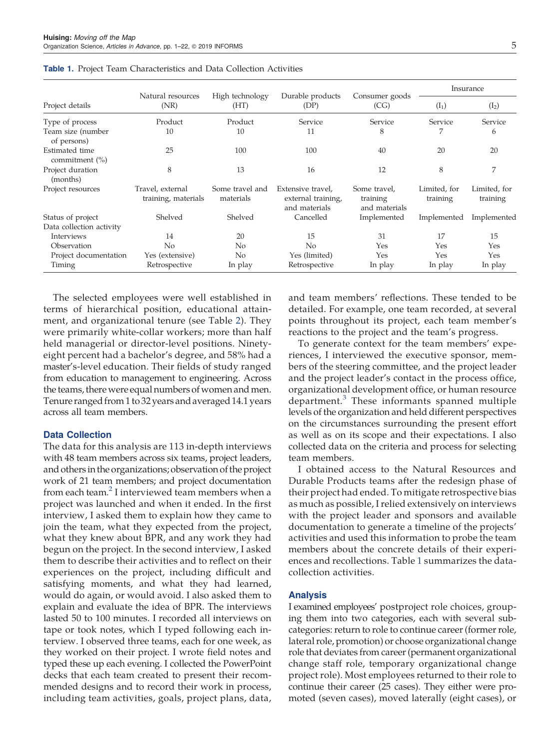|                                     |                                         |                              |                                                          |                                           |                          | Insurance                |
|-------------------------------------|-----------------------------------------|------------------------------|----------------------------------------------------------|-------------------------------------------|--------------------------|--------------------------|
| Project details                     | Natural resources<br>(NR)               | High technology<br>(HT)      | Durable products<br>(DP)                                 | Consumer goods<br>(CG)                    | $(I_1)$                  | $(I_2)$                  |
| Type of process                     | Product                                 | Product                      | Service                                                  | Service                                   | Service                  | Service                  |
| Team size (number<br>of persons)    | 10                                      | 10                           | 11                                                       | 8                                         |                          | 6                        |
| Estimated time<br>commitment $(\%)$ | 25                                      | 100                          | 100                                                      | 40                                        | 20                       | 20                       |
| Project duration<br>(months)        | 8                                       | 13                           | 16                                                       | 12                                        | 8                        | 7                        |
| Project resources                   | Travel, external<br>training, materials | Some travel and<br>materials | Extensive travel.<br>external training,<br>and materials | Some travel,<br>training<br>and materials | Limited, for<br>training | Limited, for<br>training |
| Status of project                   | Shelved                                 | Shelved                      | Cancelled                                                | Implemented                               | Implemented              | Implemented              |
| Data collection activity            |                                         |                              |                                                          |                                           |                          |                          |
| Interviews                          | 14                                      | 20                           | 15                                                       | 31                                        | 17                       | 15                       |
| Observation                         | No                                      | No.                          | No                                                       | Yes                                       | Yes                      | Yes                      |
| Project documentation               | Yes (extensive)                         | N <sub>o</sub>               | Yes (limited)                                            | Yes                                       | Yes                      | Yes                      |
| Timing                              | Retrospective                           | In play                      | Retrospective                                            | In play                                   | In play                  | In play                  |

**Table 1.** Project Team Characteristics and Data Collection Activities

The selected employees were well established in terms of hierarchical position, educational attainment, and organizational tenure (see Table 2). They were primarily white-collar workers; more than half held managerial or director-level positions. Ninetyeight percent had a bachelor's degree, and 58% had a master's-level education. Their fields of study ranged from education to management to engineering. Across the teams, there were equal numbers of women and men. Tenure ranged from 1 to 32 years and averaged 14.1 years across all team members.

## Data Collection

The data for this analysis are 113 in-depth interviews with 48 team members across six teams, project leaders, and others in the organizations; observation of the project work of 21 team members; and project documentation from each team.<sup>2</sup> I interviewed team members when a project was launched and when it ended. In the first interview, I asked them to explain how they came to join the team, what they expected from the project, what they knew about BPR, and any work they had begun on the project. In the second interview, I asked them to describe their activities and to reflect on their experiences on the project, including difficult and satisfying moments, and what they had learned, would do again, or would avoid. I also asked them to explain and evaluate the idea of BPR. The interviews lasted 50 to 100 minutes. I recorded all interviews on tape or took notes, which I typed following each interview. I observed three teams, each for one week, as they worked on their project. I wrote field notes and typed these up each evening. I collected the PowerPoint decks that each team created to present their recommended designs and to record their work in process, including team activities, goals, project plans, data,

and team members' reflections. These tended to be detailed. For example, one team recorded, at several points throughout its project, each team member's reactions to the project and the team's progress.

To generate context for the team members' experiences, I interviewed the executive sponsor, members of the steering committee, and the project leader and the project leader's contact in the process office, organizational development office, or human resource department.<sup>3</sup> These informants spanned multiple levels of the organization and held different perspectives on the circumstances surrounding the present effort as well as on its scope and their expectations. I also collected data on the criteria and process for selecting team members.

I obtained access to the Natural Resources and Durable Products teams after the redesign phase of their project had ended. To mitigate retrospective bias as much as possible, I relied extensively on interviews with the project leader and sponsors and available documentation to generate a timeline of the projects' activities and used this information to probe the team members about the concrete details of their experiences and recollections. Table 1 summarizes the datacollection activities.

## Analysis

I examined employees' postproject role choices, grouping them into two categories, each with several subcategories: return to role to continue career (former role, lateral role, promotion) or choose organizational change role that deviates from career (permanent organizational change staff role, temporary organizational change project role). Most employees returned to their role to continue their career (25 cases). They either were promoted (seven cases), moved laterally (eight cases), or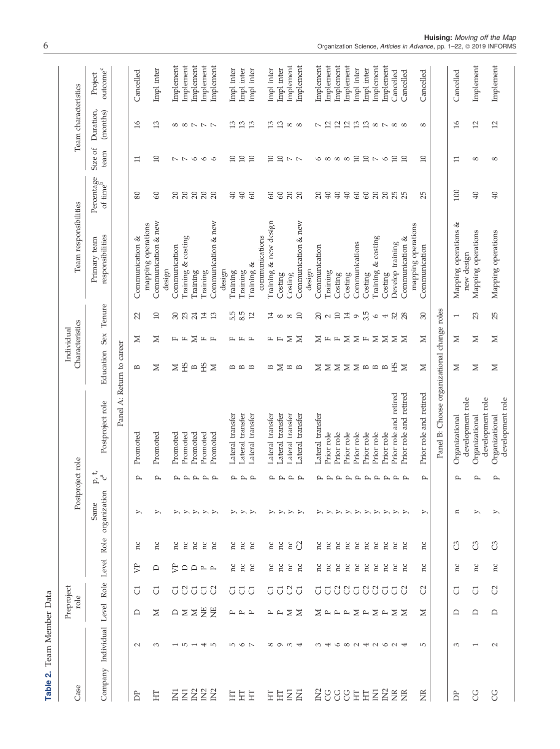|                          |                                        | Preproject<br>role |        |              | Postproject role     |                                                 |                                             |               | Characteristics<br>Individual    |                 | Team responsibilities                     |                                         |                                                        | Team characteristics                 |                       |
|--------------------------|----------------------------------------|--------------------|--------|--------------|----------------------|-------------------------------------------------|---------------------------------------------|---------------|----------------------------------|-----------------|-------------------------------------------|-----------------------------------------|--------------------------------------------------------|--------------------------------------|-----------------------|
| Company Individual       | Level                                  | Role               | Level  | Role         | organization<br>Same | ${\rm p}, {\rm t}$<br>$\mathbf{c}^{\mathbf{a}}$ | Postproject role                            | Education     | Sex                              | Tenure          | responsibilities<br>Primary team          | Percentage<br>of time <sup>b</sup>      | Size of<br>team                                        | Duration,<br>(months)                | $outcomec$<br>Project |
|                          |                                        |                    |        |              |                      |                                                 | Panel A: Return to career                   |               |                                  |                 |                                           |                                         |                                                        |                                      |                       |
| $\sim$                   | ≏                                      | J                  | ₿      | ΠC           | ⋋                    | $\mathbf{p}$                                    | Promoted                                    | В             | Σ                                | 22              | Communication &                           | 80                                      | $\Xi$                                                  | $\frac{1}{6}$                        | Cancelled             |
| 3                        | Σ                                      | J                  | ≏      | hC           |                      |                                                 | Promoted                                    | ⋝             | Σ                                | $\overline{10}$ | Communication & new<br>mapping operations | $\infty$                                | $\Box$                                                 | 13                                   | Impl inter            |
|                          |                                        |                    |        |              |                      | $\mathbf{p}$                                    |                                             |               |                                  |                 | design                                    |                                         |                                                        |                                      |                       |
|                          | <b>△</b>                               | ਨ                  | ₿      | ă            |                      | $\mathbf{r}$                                    | Promoted                                    | Σ             | 圧 圧                              | 30              | Communication                             | $\overline{c}$                          | $\sim$ $\sim$                                          |                                      | Implement             |
| LO.                      | $\geq$                                 | S                  | ≏      | hc           |                      |                                                 | Promoted                                    | ЭH            |                                  | 23              | Training & costing                        | 20                                      |                                                        |                                      | Implement             |
|                          | $\geq$                                 | $\overline{C}$     | $\Box$ | h            |                      |                                                 | Promoted                                    | $\mathbf{D}$  | $\geq$                           | 24              | Training                                  | 20                                      | $\circ$                                                |                                      | Implement             |
| $\overline{\phantom{a}}$ | 岂                                      | $\overline{C}$     | P P    | h            |                      | A A A A                                         | Promoted                                    | ЭH            | $\mathrel{\sqsubseteq}$          | 14              | Training                                  | 20                                      | $\circ$                                                | $\infty \infty \wedge \wedge \wedge$ | Implement             |
| ഥ                        | 岂                                      | U                  |        | č            |                      |                                                 | Promoted                                    | $\geq$        | $\mathbb{L}$                     | 13              | Communication & new<br>design             | 20                                      | $\circ$                                                |                                      | Implement             |
|                          |                                        | ਨ                  | ă      | ă            |                      |                                                 | Lateral transfer                            | B             |                                  | 5.5             | Training                                  | 40                                      | 10                                                     | 13                                   | Impl inter            |
| 10 G N                   | P P P P                                | U                  | Ξ      | h            |                      |                                                 | Lateral transfer                            | $m$ $m$       | 圧圧圧                              | 8.5             | Training                                  | 40                                      | 10                                                     | 13                                   | Impl inter            |
|                          |                                        | $\overline{C}$     | hc     | 'n           | ≻                    | $\Delta$ $\Delta$ $\Delta$                      | Lateral transfer                            |               |                                  | 12              | Training &                                | $\infty$                                | 10                                                     | 13                                   | Impl inter            |
|                          |                                        |                    |        |              |                      |                                                 |                                             |               |                                  |                 | communications                            |                                         |                                                        |                                      |                       |
|                          | P P                                    | ਨ                  | ă      | č            |                      |                                                 | Lateral transfer                            | B             | 圧 圧                              | 14              | Training & new design                     | 60                                      | 10                                                     | 13                                   | Impl inter            |
| $\sigma$                 |                                        | $\overline{C}$     | ă      | ă            |                      | $\Delta$ $\Delta$ $\Delta$ $\Delta$             | Lateral transfer                            | $\geq$        |                                  | $\infty$        | $\frac{3}{2}$                             | $\mbox{60}$                             | 10                                                     | 13                                   | Impl inter            |
| $\omega$ 4               | $\Sigma \geq$                          | <b>UU</b>          | hC     | hC           |                      |                                                 | ateral transfer                             | $\mathbb{B}$  | Σ                                | $\infty$        | Costing                                   | $\frac{20}{20}$                         | $\mathrel{\scriptstyle\sim}\mathrel{\scriptstyle\sim}$ | $\infty$ $\infty$                    | Implement             |
|                          |                                        |                    | hc     | <sup>2</sup> | $\rightarrow$        |                                                 | Lateral transfer                            |               | $\geq$                           | 10              | Communication & new                       |                                         |                                                        |                                      | Implement             |
|                          |                                        |                    |        |              |                      |                                                 |                                             |               |                                  |                 | design                                    |                                         |                                                        |                                      |                       |
|                          |                                        | ក                  | ă      | ă            |                      |                                                 | Lateral transfer                            | ⋝             | Σ                                | 20              | Communication                             | $\overline{c}$                          |                                                        | $\sim$                               | Implement             |
|                          |                                        | Ū                  | ă      | ă            |                      |                                                 | Prior role                                  | Σ             | $\mathbb{L}$                     | $\sim$          | Training                                  | 40                                      |                                                        | $\overline{c}$                       | Implement             |
| $\circ$                  | $\Sigma$ $\square$ $\square$ $\square$ | <sup>2</sup>       | ň      | hc           |                      |                                                 | Prior role                                  | $\geq$        | $\mathop{\hbox{\rm L}}\nolimits$ | 10              | $\mathop{\mathrm{Costing}}$               | 40                                      | $\circ$ $\circ$ $\circ$ $\circ$                        | 12                                   | Implement             |
| $\infty$                 |                                        | <sup>2</sup>       | ă      | ă            | $\rightarrow$        |                                                 | Prior role                                  | $\geq$ $\geq$ | $\Sigma \Sigma$                  | 14              | Costing                                   | 40                                      |                                                        | 12                                   | Implement             |
| 040604                   | Σ                                      | $\overline{C}$     | ă      | č            | ≻                    | <b>A A A A A A A A A</b>                        | Prior role                                  |               |                                  | $\circ$         | Communications                            | $60\,$                                  | $10$                                                   | 13                                   | Impl inter            |
|                          | $\mathbb P$                            | $\mathcal{C}$      | 'n     | Ξ            | $\geq$               |                                                 | Prior role                                  | $\mathbf{B}$  | $\mathrel{\sqsubseteq}$          | 3.5             | $\frac{3}{2}$                             | $60\,$                                  | 10                                                     | 13                                   | Impl inter            |
|                          | $\geq$ $\approx$                       | S.                 | ă      | hc           |                      |                                                 | Prior role                                  | $\mathbf{D}$  | $\geq$                           | $\circ$         | & costing<br>Training &                   | $\begin{array}{c} 20 \\ 20 \end{array}$ | $\mathord{\sim}$                                       | $\sim$ $\sim$                        | Implement             |
|                          |                                        | $\overline{C}$     | hc     | 'n           |                      |                                                 | Prior role                                  | $\mathbf{B}$  | $\geq$                           | 4               | $\frac{3}{2}$                             |                                         | $\circ$                                                |                                      | Implement             |
|                          | Σ                                      | $\overline{C}$     | ă      | Ξ            | ツシシシ                 |                                                 | Prior role and retired                      | ЭH            | Σ                                | 32              | Develop training                          | 25                                      | 10                                                     | $\infty$ $\infty$                    | Cancelled             |
|                          | ⊠                                      | U                  | č      | č            |                      |                                                 | Prior role and retired                      | $\geq$        | ⊠                                | 28              | Communication &                           |                                         | 10                                                     |                                      | Cancelled             |
| Б                        | ≍                                      | C                  | hC     | hC           | ⋋                    | $\mathbf{p}$                                    | Prior role and retired                      | Σ             | Σ                                | $\sqrt{30}$     | mapping operations<br>Communication       | 25                                      | $\overline{10}$                                        | $^{\circ}$                           | Cancelled             |
|                          |                                        |                    |        |              |                      |                                                 | Panel B: Choose organizational change roles |               |                                  |                 |                                           |                                         |                                                        |                                      |                       |
| 3                        | ≏                                      | $\overline{C}$     | ΠC     | <b>U</b>     | $\mathbf{u}$         | $\mathbf{p}$                                    | development role<br>Organizational          | Z             | Σ                                | $\overline{ }$  | Mapping operations &<br>new design        | 100                                     | $\Xi$                                                  | 16                                   | Cancelled             |
|                          | ≏                                      | J                  | hC     | ී            |                      | $\mathbf{p}$                                    | development role<br>Organizational          | Σ             | Σ                                | 23              | Mapping operations                        | $\overline{40}$                         | $\infty$                                               | 12                                   | Implement             |
| $\sim$                   | $\Box$                                 | C                  | hC     | <b>U</b>     |                      | p                                               | development role<br>Organizational          | $\geq$        | $\geq$                           | 25              | Mapping operations                        | $\overline{40}$                         | 8                                                      | 12                                   | Implement             |
|                          |                                        |                    |        |              |                      |                                                 |                                             |               |                                  |                 |                                           |                                         |                                                        |                                      |                       |

**Huising:** Moving off the Map<br>Organization Science, Articles in Advance, pp. 1–22, © 2019 INFORMS

Table 2. Team Member Data

Table 2. Team Member Data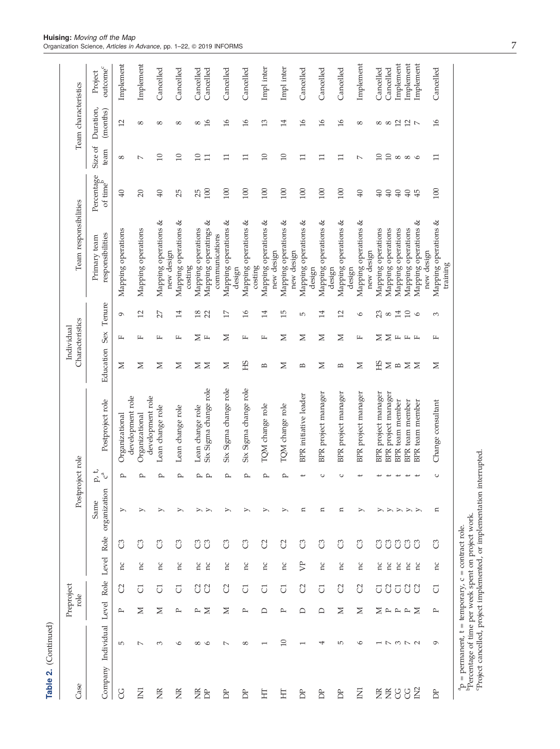| Case             |                                                                                                                                           |                       | Preproject<br>role |                |                |                                                                        | Postproject role        |                                           |               | Characteristics<br>Individual |                | Team responsibilities                                           |                                    |                            | Team characteristics          |                                 |
|------------------|-------------------------------------------------------------------------------------------------------------------------------------------|-----------------------|--------------------|----------------|----------------|------------------------------------------------------------------------|-------------------------|-------------------------------------------|---------------|-------------------------------|----------------|-----------------------------------------------------------------|------------------------------------|----------------------------|-------------------------------|---------------------------------|
|                  | Company Individual Level Role                                                                                                             |                       |                    | Level          | Role           | organization<br>Same                                                   | p, t,<br>$\mathbb{C}^n$ | Postproject role                          | Education     | Sex                           | Tenure         | responsibilities<br>Primary team                                | Percentage<br>of time <sup>b</sup> | Size of<br>team            | Duration,<br>(months)         | outcome <sup>c</sup><br>Project |
| g                | $\overline{5}$                                                                                                                            | $\mathbb{\mathbb{P}}$ | <sup>2</sup>       | Ξ              | ී              | ⋋                                                                      | ௨                       | development role<br>Organizational        | Z             | щ                             | $\sigma$       | Mapping operations                                              | $\overline{40}$                    | $\infty$                   | 12                            | Implement                       |
| Z                | $\sim$                                                                                                                                    | Σ                     | J                  | hC             | පි             | ≻                                                                      | ≏                       | development role<br>Organizational        | Σ             | д                             | 12             | Mapping operations                                              | 20                                 | $\overline{ }$             | $^{\circ}$                    | Implement                       |
| Ĕ                | $\infty$                                                                                                                                  | Σ                     | $\overline{C}$     | nc             | ී              | ⋋                                                                      | ≏                       | Lean change role                          | $\geq$        | 円                             | 27             | Mapping operations &<br>new design                              | 40                                 | 10                         | $^{\circ}$                    | Cancelled                       |
| Ĕ                | $\circ$                                                                                                                                   | $\mathbb{\mathbb{R}}$ | J                  | nc             | ී              | ≻                                                                      | ≏                       | Lean change role                          | Σ             | щ                             | 14             | Mapping operations &<br>${\rm costing}$                         | 25                                 | 10                         | $^{\circ}$                    | Cancelled                       |
| ã<br>$\tilde{D}$ | ${}^{\circ}$<br>$\circ$                                                                                                                   | $\geq$<br>≏           | <b>88</b>          | nc<br>'n       | ී<br>ී         | ⋋<br>⋗                                                                 | ص ہم                    | Six Sigma change role<br>Lean change role | $\geq$ $\geq$ | ≍<br>$\mathbb{L}$             | $18$ 22        | త<br>Mapping operatings<br>Mapping operations<br>communications | 100<br>25                          | $\Box$<br>$\Box$           | 16<br>$\infty$                | Cancelled<br>Cancelled          |
| <b>DP</b>        | $\overline{\phantom{a}}$                                                                                                                  | Σ                     | S)                 | nc             | ී              | ⋋                                                                      | $\mathbf{p}$            | Six Sigma change role                     | Σ             | Z                             | 17             | Mapping operations &<br>design                                  | 100                                | $\Box$                     | 16                            | Cancelled                       |
| È                | ${}^{\circ}$                                                                                                                              | $\mathbb{\mathbb{R}}$ | $\overline{C}$     | nc             | ී              | ⋋                                                                      | ≏                       | Six Sigma change role                     | ЭH            | щ                             | $\frac{6}{2}$  | Mapping operations &<br>costing                                 | 100                                | $\Box$                     | $\frac{1}{6}$                 | Cancelled                       |
| Ë                |                                                                                                                                           | ≏                     | J                  | nc             | S <sub>2</sub> | ⋋                                                                      | ≏                       | TQM change role                           | B             | щ                             | 14             | Mapping operations &<br>new design                              | 100                                | 10                         | 13                            | Impl inter                      |
| 됴                | $\Box$                                                                                                                                    | ≏                     | $\overline{C}$     | hC             | C <sub>2</sub> | ⋋                                                                      | ρ                       | TQM change role                           | Σ             | ⊠                             | IJ             | Mapping operations &<br>new design                              | 100                                | $\overline{10}$            | 14                            | Impl inter                      |
| È                |                                                                                                                                           | ≏                     | C                  | $\mathbb{R}^2$ | ී              | n                                                                      | ب                       | BPR initiative leader                     | B             | Σ                             | $\overline{5}$ | Mapping operations &<br>design                                  | 100                                | $\Box$                     | $\frac{1}{6}$                 | Cancelled                       |
| È                | ⇥                                                                                                                                         | ≏                     | $\overline{C}$     | hC             | ී              | n                                                                      | $\circ$                 | BPR project manager                       | Σ             | Σ                             | 14             | Mapping operations &<br>design                                  | 100                                | $\Box$                     | $\frac{\partial}{\partial x}$ | Cancelled                       |
| È                | 5                                                                                                                                         | Σ                     | S)                 | Ξ              | පි             | n                                                                      | C                       | BPR project manager                       | B             | ≍                             | 12             | Mapping operations &<br>design                                  | 100                                | $\Xi$                      | $\mathfrak{a}$                | Cancelled                       |
| $\overline{E}$   | $\circ$                                                                                                                                   | $\geq$                | C                  | nc             | ී              | ≻                                                                      |                         | BPR project manager                       | Σ             | 山                             | $\circ$        | Mapping operations &<br>new design                              | $\overline{40}$                    | $\sim$                     | $^{\circ}$                    | Implement                       |
|                  |                                                                                                                                           | Σ                     | U S                | nc             | ී              | ⋋                                                                      |                         | BPR project manager                       | <b>CH</b>     | Σ                             | 23             | Mapping operations                                              | 40                                 | 10                         |                               | Cancelled                       |
|                  | $\overline{a}$                                                                                                                            | $\rightarrow$         |                    | hC             | ී              | ≻                                                                      |                         | project manager<br><b>BPR</b>             | $\Xi$ $\Xi$   |                               | $\infty$       | Mapping operations                                              | 40                                 | 10                         |                               | Cancelled                       |
| gggg             | $M \sim N$                                                                                                                                | $\mathbb{P}$          | $\overline{C}$     | hc             | ී              | $\geq$                                                                 |                         | team member<br><b>BPR</b>                 |               | $\Sigma \vdash \vdash \vdash$ | 14             | Mapping operations                                              | 40                                 | $\infty$ $\infty$ $\infty$ | ∞∞ 21 21 7                    | Implement                       |
|                  |                                                                                                                                           | $\mathbb{P}$          | 88                 | hc             | ී              | $\triangleright$ $\triangleright$                                      | ىب                      | BPR team member                           | $\geq$        |                               | 10             | Mapping operations                                              | 40                                 |                            |                               | Implement                       |
|                  |                                                                                                                                           | Σ                     |                    | ă              | ටී             |                                                                        |                         | BPR team member                           | $\geq$        |                               | $\circ$        | Mapping operations &<br>new design                              | 45                                 |                            |                               | Implement                       |
| È                | ç                                                                                                                                         | $\mathsf{p}$          | J                  | nc             | ටී             | n                                                                      | U                       | Change consultant                         | Σ             | щ                             | 3              | Mapping operations &<br>training                                | 100                                | $\Box$                     | $\frac{1}{6}$                 | Cancelled                       |
|                  | ${}^{\rm a}_{\rm P}$ = permanent, t = temporary, c = contract role. ${}^{\rm b}_{\rm Percentage}$ of time per week spent on project work. |                       |                    |                |                | Project cancelled, project implemented, or implementation interrupted. |                         |                                           |               |                               |                |                                                                 |                                    |                            |                               |                                 |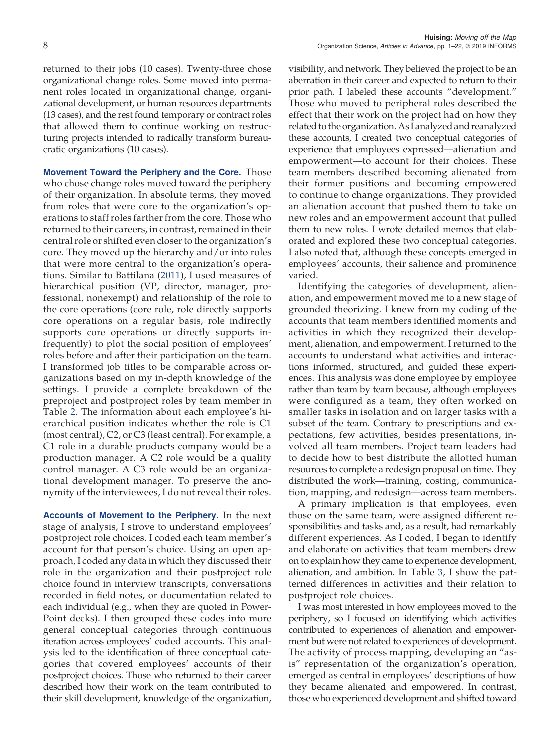returned to their jobs (10 cases). Twenty-three chose organizational change roles. Some moved into permanent roles located in organizational change, organizational development, or human resources departments (13 cases), and the rest found temporary or contract roles that allowed them to continue working on restructuring projects intended to radically transform bureau-

cratic organizations (10 cases).

Movement Toward the Periphery and the Core. Those who chose change roles moved toward the periphery of their organization. In absolute terms, they moved from roles that were core to the organization's operations to staff roles farther from the core. Those who returned to their careers, in contrast, remained in their central role or shifted even closer to the organization's core. They moved up the hierarchy and/or into roles that were more central to the organization's operations. Similar to Battilana (2011), I used measures of hierarchical position (VP, director, manager, professional, nonexempt) and relationship of the role to the core operations (core role, role directly supports core operations on a regular basis, role indirectly supports core operations or directly supports infrequently) to plot the social position of employees' roles before and after their participation on the team. I transformed job titles to be comparable across organizations based on my in-depth knowledge of the settings. I provide a complete breakdown of the preproject and postproject roles by team member in Table 2. The information about each employee's hierarchical position indicates whether the role is C1 (most central), C2, or C3 (least central). For example, a C1 role in a durable products company would be a production manager. A C2 role would be a quality control manager. A C3 role would be an organizational development manager. To preserve the anonymity of the interviewees, I do not reveal their roles.

Accounts of Movement to the Periphery. In the next stage of analysis, I strove to understand employees' postproject role choices. I coded each team member's account for that person's choice. Using an open approach, I coded any data in which they discussed their role in the organization and their postproject role choice found in interview transcripts, conversations recorded in field notes, or documentation related to each individual (e.g., when they are quoted in Power-Point decks). I then grouped these codes into more general conceptual categories through continuous iteration across employees' coded accounts. This analysis led to the identification of three conceptual categories that covered employees' accounts of their postproject choices. Those who returned to their career described how their work on the team contributed to their skill development, knowledge of the organization,

visibility, and network. They believed the project to be an aberration in their career and expected to return to their prior path. I labeled these accounts "development." Those who moved to peripheral roles described the effect that their work on the project had on how they related to the organization. As I analyzed and reanalyzed these accounts, I created two conceptual categories of experience that employees expressed—alienation and empowerment—to account for their choices. These team members described becoming alienated from their former positions and becoming empowered to continue to change organizations. They provided an alienation account that pushed them to take on new roles and an empowerment account that pulled them to new roles. I wrote detailed memos that elaborated and explored these two conceptual categories. I also noted that, although these concepts emerged in employees' accounts, their salience and prominence varied.

Identifying the categories of development, alienation, and empowerment moved me to a new stage of grounded theorizing. I knew from my coding of the accounts that team members identified moments and activities in which they recognized their development, alienation, and empowerment. I returned to the accounts to understand what activities and interactions informed, structured, and guided these experiences. This analysis was done employee by employee rather than team by team because, although employees were configured as a team, they often worked on smaller tasks in isolation and on larger tasks with a subset of the team. Contrary to prescriptions and expectations, few activities, besides presentations, involved all team members. Project team leaders had to decide how to best distribute the allotted human resources to complete a redesign proposal on time. They distributed the work—training, costing, communication, mapping, and redesign—across team members.

A primary implication is that employees, even those on the same team, were assigned different responsibilities and tasks and, as a result, had remarkably different experiences. As I coded, I began to identify and elaborate on activities that team members drew on to explain how they came to experience development, alienation, and ambition. In Table 3, I show the patterned differences in activities and their relation to postproject role choices.

I was most interested in how employees moved to the periphery, so I focused on identifying which activities contributed to experiences of alienation and empowerment but were not related to experiences of development. The activity of process mapping, developing an "asis" representation of the organization's operation, emerged as central in employees' descriptions of how they became alienated and empowered. In contrast, those who experienced development and shifted toward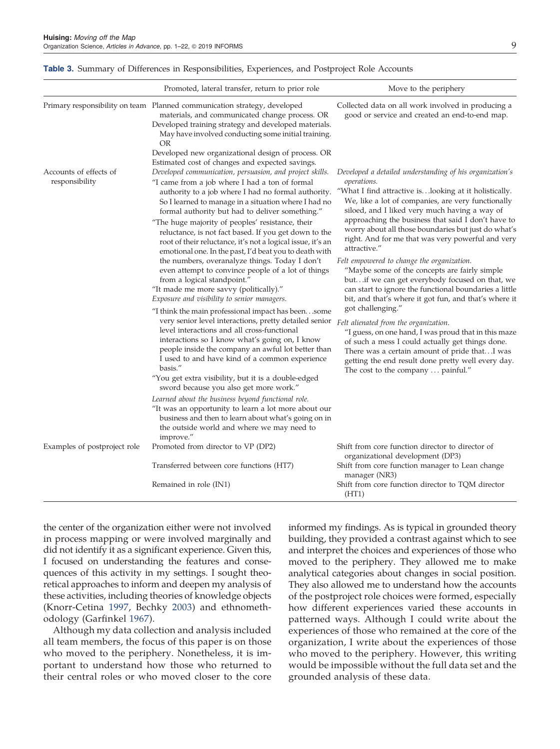|                                          | Promoted, lateral transfer, return to prior role                                                                                                                                                                                                                                                                                                                                                                                                                                                                                                                                                                                                                                                                                                                                                                                                                                                                                                                                                                                                                                                                                                                                                                                                                                                                                                                                                                                                                                                                    | Move to the periphery                                                                                                                                                                                                                                                                                                                                                                                                                                                                                                                                                                                                                                                                                                                                                                                                                                                                                                                                                                                                       |
|------------------------------------------|---------------------------------------------------------------------------------------------------------------------------------------------------------------------------------------------------------------------------------------------------------------------------------------------------------------------------------------------------------------------------------------------------------------------------------------------------------------------------------------------------------------------------------------------------------------------------------------------------------------------------------------------------------------------------------------------------------------------------------------------------------------------------------------------------------------------------------------------------------------------------------------------------------------------------------------------------------------------------------------------------------------------------------------------------------------------------------------------------------------------------------------------------------------------------------------------------------------------------------------------------------------------------------------------------------------------------------------------------------------------------------------------------------------------------------------------------------------------------------------------------------------------|-----------------------------------------------------------------------------------------------------------------------------------------------------------------------------------------------------------------------------------------------------------------------------------------------------------------------------------------------------------------------------------------------------------------------------------------------------------------------------------------------------------------------------------------------------------------------------------------------------------------------------------------------------------------------------------------------------------------------------------------------------------------------------------------------------------------------------------------------------------------------------------------------------------------------------------------------------------------------------------------------------------------------------|
|                                          | Primary responsibility on team Planned communication strategy, developed<br>materials, and communicated change process. OR<br>Developed training strategy and developed materials.<br>May have involved conducting some initial training.<br>OR                                                                                                                                                                                                                                                                                                                                                                                                                                                                                                                                                                                                                                                                                                                                                                                                                                                                                                                                                                                                                                                                                                                                                                                                                                                                     | Collected data on all work involved in producing a<br>good or service and created an end-to-end map.                                                                                                                                                                                                                                                                                                                                                                                                                                                                                                                                                                                                                                                                                                                                                                                                                                                                                                                        |
| Accounts of effects of<br>responsibility | Developed new organizational design of process. OR<br>Estimated cost of changes and expected savings.<br>Developed communication, persuasion, and project skills.<br>"I came from a job where I had a ton of formal<br>authority to a job where I had no formal authority.<br>So I learned to manage in a situation where I had no<br>formal authority but had to deliver something."<br>"The huge majority of peoples' resistance, their<br>reluctance, is not fact based. If you get down to the<br>root of their reluctance, it's not a logical issue, it's an<br>emotional one. In the past, I'd beat you to death with<br>the numbers, overanalyze things. Today I don't<br>even attempt to convince people of a lot of things<br>from a logical standpoint."<br>"It made me more savvy (politically)."<br>Exposure and visibility to senior managers.<br>"I think the main professional impact has beensome<br>very senior level interactions, pretty detailed senior<br>level interactions and all cross-functional<br>interactions so I know what's going on, I know<br>people inside the company an awful lot better than<br>I used to and have kind of a common experience<br>basis."<br>"You get extra visibility, but it is a double-edged<br>sword because you also get more work."<br>Learned about the business beyond functional role.<br>"It was an opportunity to learn a lot more about our<br>business and then to learn about what's going on in<br>the outside world and where we may need to | Developed a detailed understanding of his organization's<br><i>operations.</i><br>"What I find attractive islooking at it holistically.<br>We, like a lot of companies, are very functionally<br>siloed, and I liked very much having a way of<br>approaching the business that said I don't have to<br>worry about all those boundaries but just do what's<br>right. And for me that was very powerful and very<br>attractive."<br>Felt empowered to change the organization.<br>"Maybe some of the concepts are fairly simple<br>butif we can get everybody focused on that, we<br>can start to ignore the functional boundaries a little<br>bit, and that's where it got fun, and that's where it<br>got challenging."<br>Felt alienated from the organization.<br>"I guess, on one hand, I was proud that in this maze<br>of such a mess I could actually get things done.<br>There was a certain amount of pride thatI was<br>getting the end result done pretty well every day.<br>The cost to the company  painful." |
| Examples of postproject role             | improve."<br>Promoted from director to VP (DP2)                                                                                                                                                                                                                                                                                                                                                                                                                                                                                                                                                                                                                                                                                                                                                                                                                                                                                                                                                                                                                                                                                                                                                                                                                                                                                                                                                                                                                                                                     | Shift from core function director to director of<br>organizational development (DP3)                                                                                                                                                                                                                                                                                                                                                                                                                                                                                                                                                                                                                                                                                                                                                                                                                                                                                                                                        |
|                                          | Transferred between core functions (HT7)<br>Remained in role (IN1)                                                                                                                                                                                                                                                                                                                                                                                                                                                                                                                                                                                                                                                                                                                                                                                                                                                                                                                                                                                                                                                                                                                                                                                                                                                                                                                                                                                                                                                  | Shift from core function manager to Lean change<br>manager (NR3)<br>Shift from core function director to TQM director<br>(HT1)                                                                                                                                                                                                                                                                                                                                                                                                                                                                                                                                                                                                                                                                                                                                                                                                                                                                                              |

#### Table 3. Summary of Differences in Responsibilities, Experiences, and Postproject Role Accounts

the center of the organization either were not involved in process mapping or were involved marginally and did not identify it as a significant experience. Given this, I focused on understanding the features and consequences of this activity in my settings. I sought theoretical approaches to inform and deepen my analysis of these activities, including theories of knowledge objects (Knorr-Cetina 1997, Bechky 2003) and ethnomethodology (Garfinkel 1967).

Although my data collection and analysis included all team members, the focus of this paper is on those who moved to the periphery. Nonetheless, it is important to understand how those who returned to their central roles or who moved closer to the core

informed my findings. As is typical in grounded theory building, they provided a contrast against which to see and interpret the choices and experiences of those who moved to the periphery. They allowed me to make analytical categories about changes in social position. They also allowed me to understand how the accounts of the postproject role choices were formed, especially how different experiences varied these accounts in patterned ways. Although I could write about the experiences of those who remained at the core of the organization, I write about the experiences of those who moved to the periphery. However, this writing would be impossible without the full data set and the grounded analysis of these data.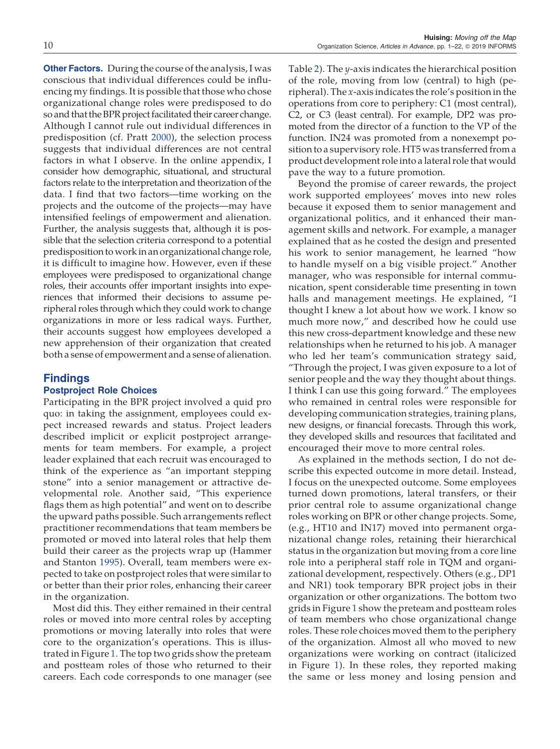**Other Factors.** During the course of the analysis, I was conscious that individual differences could be influencing my findings. It is possible that those who chose organizational change roles were predisposed to do so and that the BPR project facilitated their career change. Although I cannot rule out individual differences in predisposition (cf. Pratt 2000), the selection process suggests that individual differences are not central factors in what I observe. In the online appendix, I consider how demographic, situational, and structural factors relate to the interpretation and theorization of the data. I find that two factors—time working on the projects and the outcome of the projects—may have intensified feelings of empowerment and alienation. Further, the analysis suggests that, although it is possible that the selection criteria correspond to a potential predisposition to work in an organizational change role, it is difficult to imagine how. However, even if these employees were predisposed to organizational change roles, their accounts offer important insights into experiences that informed their decisions to assume peripheral roles through which they could work to change organizations in more or less radical ways. Further, their accounts suggest how employees developed a new apprehension of their organization that created both a sense of empowerment and a sense of alienation.

# Findings

## Postproject Role Choices

Participating in the BPR project involved a quid pro quo: in taking the assignment, employees could expect increased rewards and status. Project leaders described implicit or explicit postproject arrangements for team members. For example, a project leader explained that each recruit was encouraged to think of the experience as "an important stepping stone" into a senior management or attractive developmental role. Another said, "This experience flags them as high potential" and went on to describe the upward paths possible. Such arrangements reflect practitioner recommendations that team members be promoted or moved into lateral roles that help them build their career as the projects wrap up (Hammer and Stanton 1995). Overall, team members were expected to take on postproject roles that were similar to or better than their prior roles, enhancing their career in the organization.

Most did this. They either remained in their central roles or moved into more central roles by accepting promotions or moving laterally into roles that were core to the organization's operations. This is illustrated in Figure 1. The top two grids show the preteam and postteam roles of those who returned to their careers. Each code corresponds to one manager (see

Table 2). The *y*-axis indicates the hierarchical position of the role, moving from low (central) to high (peripheral). The *x*-axis indicates the role's position in the operations from core to periphery: C1 (most central), C2, or C3 (least central). For example, DP2 was promoted from the director of a function to the VP of the function. IN24 was promoted from a nonexempt position to a supervisory role. HT5 was transferred from a product development role into a lateral role that would pave the way to a future promotion.

Beyond the promise of career rewards, the project work supported employees' moves into new roles because it exposed them to senior management and organizational politics, and it enhanced their management skills and network. For example, a manager explained that as he costed the design and presented his work to senior management, he learned "how to handle myself on a big visible project." Another manager, who was responsible for internal communication, spent considerable time presenting in town halls and management meetings. He explained, "I thought I knew a lot about how we work. I know so much more now," and described how he could use this new cross-department knowledge and these new relationships when he returned to his job. A manager who led her team's communication strategy said, "Through the project, I was given exposure to a lot of

senior people and the way they thought about things. I think I can use this going forward." The employees who remained in central roles were responsible for developing communication strategies, training plans, new designs, or financial forecasts. Through this work, they developed skills and resources that facilitated and encouraged their move to more central roles.

As explained in the methods section, I do not describe this expected outcome in more detail. Instead, I focus on the unexpected outcome. Some employees turned down promotions, lateral transfers, or their prior central role to assume organizational change roles working on BPR or other change projects. Some, (e.g., HT10 and IN17) moved into permanent organizational change roles, retaining their hierarchical status in the organization but moving from a core line role into a peripheral staff role in TQM and organizational development, respectively. Others (e.g., DP1 and NR1) took temporary BPR project jobs in their organization or other organizations. The bottom two grids in Figure 1 show the preteam and postteam roles of team members who chose organizational change roles. These role choices moved them to the periphery of the organization. Almost all who moved to new organizations were working on contract (italicized in Figure 1). In these roles, they reported making the same or less money and losing pension and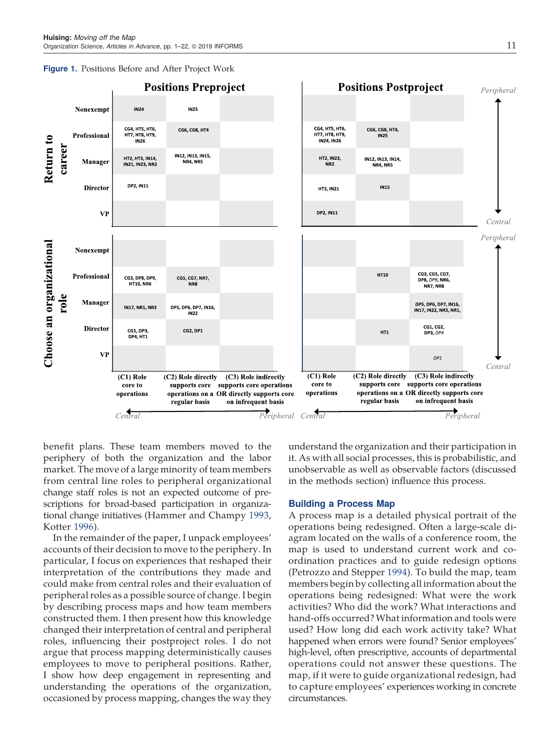



benefit plans. These team members moved to the periphery of both the organization and the labor market. The move of a large minority of team members from central line roles to peripheral organizational change staff roles is not an expected outcome of prescriptions for broad-based participation in organizational change initiatives (Hammer and Champy 1993, Kotter 1996).

In the remainder of the paper, I unpack employees' accounts of their decision to move to the periphery. In particular, I focus on experiences that reshaped their interpretation of the contributions they made and could make from central roles and their evaluation of peripheral roles as a possible source of change. I begin by describing process maps and how team members constructed them. I then present how this knowledge changed their interpretation of central and peripheral roles, influencing their postproject roles. I do not argue that process mapping deterministically causes employees to move to peripheral positions. Rather, I show how deep engagement in representing and understanding the operations of the organization, occasioned by process mapping, changes the way they

understand the organization and their participation in it. As with all social processes, this is probabilistic, and unobservable as well as observable factors (discussed in the methods section) influence this process.

#### Building a Process Map

A process map is a detailed physical portrait of the operations being redesigned. Often a large-scale diagram located on the walls of a conference room, the map is used to understand current work and coordination practices and to guide redesign options (Petrozzo and Stepper 1994). To build the map, team members begin by collecting all information about the operations being redesigned: What were the work activities? Who did the work? What interactions and hand-offs occurred?What information and tools were used? How long did each work activity take? What happened when errors were found? Senior employees' high-level, often prescriptive, accounts of departmental operations could not answer these questions. The map, if it were to guide organizational redesign, had to capture employees' experiences working in concrete circumstances.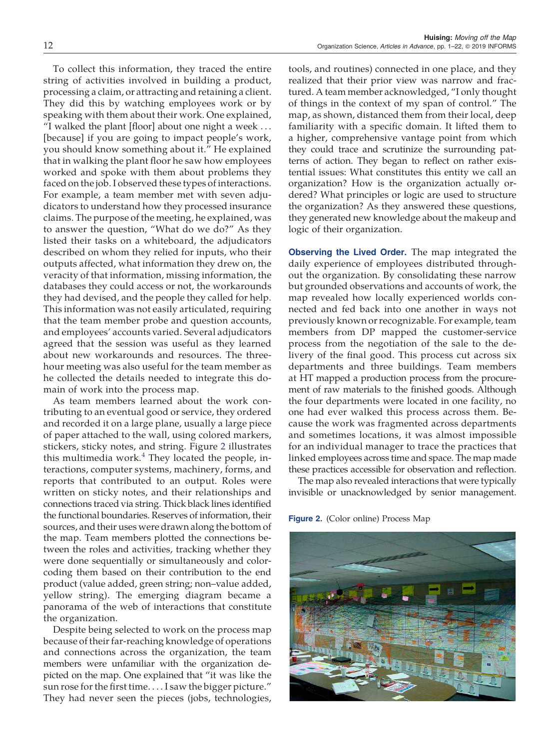To collect this information, they traced the entire string of activities involved in building a product, processing a claim, or attracting and retaining a client. They did this by watching employees work or by speaking with them about their work. One explained, "I walked the plant [floor] about one night a week . . . [because] if you are going to impact people's work, you should know something about it." He explained that in walking the plant floor he saw how employees worked and spoke with them about problems they faced on the job. I observed these types of interactions. For example, a team member met with seven adjudicators to understand how they processed insurance claims. The purpose of the meeting, he explained, was to answer the question, "What do we do?" As they listed their tasks on a whiteboard, the adjudicators described on whom they relied for inputs, who their outputs affected, what information they drew on, the veracity of that information, missing information, the databases they could access or not, the workarounds they had devised, and the people they called for help. This information was not easily articulated, requiring that the team member probe and question accounts, and employees' accounts varied. Several adjudicators agreed that the session was useful as they learned about new workarounds and resources. The threehour meeting was also useful for the team member as he collected the details needed to integrate this domain of work into the process map.

As team members learned about the work contributing to an eventual good or service, they ordered and recorded it on a large plane, usually a large piece of paper attached to the wall, using colored markers, stickers, sticky notes, and string. Figure 2 illustrates this multimedia work.<sup>4</sup> They located the people, interactions, computer systems, machinery, forms, and reports that contributed to an output. Roles were written on sticky notes, and their relationships and connections traced via string. Thick black lines identified the functional boundaries. Reserves of information, their sources, and their uses were drawn along the bottom of the map. Team members plotted the connections between the roles and activities, tracking whether they were done sequentially or simultaneously and colorcoding them based on their contribution to the end product (value added, green string; non–value added, yellow string). The emerging diagram became a panorama of the web of interactions that constitute the organization.

Despite being selected to work on the process map because of their far-reaching knowledge of operations and connections across the organization, the team members were unfamiliar with the organization depicted on the map. One explained that "it was like the sun rose for the first time. . . . I saw the bigger picture." They had never seen the pieces (jobs, technologies,

tools, and routines) connected in one place, and they realized that their prior view was narrow and fractured. A team member acknowledged, "I only thought of things in the context of my span of control." The map, as shown, distanced them from their local, deep familiarity with a specific domain. It lifted them to a higher, comprehensive vantage point from which they could trace and scrutinize the surrounding patterns of action. They began to reflect on rather existential issues: What constitutes this entity we call an organization? How is the organization actually ordered? What principles or logic are used to structure the organization? As they answered these questions, they generated new knowledge about the makeup and logic of their organization.

**Observing the Lived Order.** The map integrated the daily experience of employees distributed throughout the organization. By consolidating these narrow but grounded observations and accounts of work, the map revealed how locally experienced worlds connected and fed back into one another in ways not previously known or recognizable. For example, team members from DP mapped the customer-service process from the negotiation of the sale to the delivery of the final good. This process cut across six departments and three buildings. Team members at HT mapped a production process from the procurement of raw materials to the finished goods. Although the four departments were located in one facility, no one had ever walked this process across them. Because the work was fragmented across departments and sometimes locations, it was almost impossible for an individual manager to trace the practices that linked employees across time and space. The map made these practices accessible for observation and reflection.

The map also revealed interactions that were typically invisible or unacknowledged by senior management.

Figure 2. (Color online) Process Map

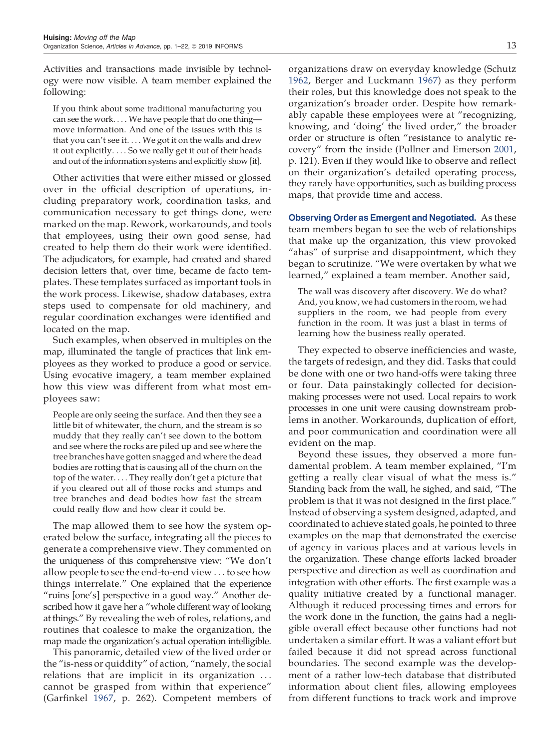Activities and transactions made invisible by technology were now visible. A team member explained the following:

If you think about some traditional manufacturing you can see the work. . . . We have people that do one thing move information. And one of the issues with this is that you can't see it. . . . We got it on the walls and drew it out explicitly. . . . So we really get it out of their heads and out of the information systems and explicitly show [it].

Other activities that were either missed or glossed over in the official description of operations, including preparatory work, coordination tasks, and communication necessary to get things done, were marked on the map. Rework, workarounds, and tools that employees, using their own good sense, had created to help them do their work were identified. The adjudicators, for example, had created and shared decision letters that, over time, became de facto templates. These templates surfaced as important tools in the work process. Likewise, shadow databases, extra steps used to compensate for old machinery, and regular coordination exchanges were identified and located on the map.

Such examples, when observed in multiples on the map, illuminated the tangle of practices that link employees as they worked to produce a good or service. Using evocative imagery, a team member explained how this view was different from what most employees saw:

People are only seeing the surface. And then they see a little bit of whitewater, the churn, and the stream is so muddy that they really can't see down to the bottom and see where the rocks are piled up and see where the tree branches have gotten snagged and where the dead bodies are rotting that is causing all of the churn on the top of the water. . . . They really don't get a picture that if you cleared out all of those rocks and stumps and tree branches and dead bodies how fast the stream could really flow and how clear it could be.

The map allowed them to see how the system operated below the surface, integrating all the pieces to generate a comprehensive view. They commented on the uniqueness of this comprehensive view: "We don't allow people to see the end-to-end view . . . to see how things interrelate." One explained that the experience "ruins [one's] perspective in a good way." Another described how it gave her a "whole different way of looking at things." By revealing the web of roles, relations, and routines that coalesce to make the organization, the map made the organization's actual operation intelligible.

This panoramic, detailed view of the lived order or the "is-ness or quiddity" of action, "namely, the social relations that are implicit in its organization ... cannot be grasped from within that experience" (Garfinkel 1967, p. 262). Competent members of organizations draw on everyday knowledge (Schutz 1962, Berger and Luckmann 1967) as they perform their roles, but this knowledge does not speak to the organization's broader order. Despite how remarkably capable these employees were at "recognizing, knowing, and 'doing' the lived order," the broader order or structure is often "resistance to analytic recovery" from the inside (Pollner and Emerson 2001, p. 121). Even if they would like to observe and reflect on their organization's detailed operating process, they rarely have opportunities, such as building process maps, that provide time and access.

Observing Order as Emergent and Negotiated. As these team members began to see the web of relationships that make up the organization, this view provoked "ahas" of surprise and disappointment, which they began to scrutinize. "We were overtaken by what we learned," explained a team member. Another said,

The wall was discovery after discovery. We do what? And, you know, we had customers in the room, we had suppliers in the room, we had people from every function in the room. It was just a blast in terms of learning how the business really operated.

They expected to observe inefficiencies and waste, the targets of redesign, and they did. Tasks that could be done with one or two hand-offs were taking three or four. Data painstakingly collected for decisionmaking processes were not used. Local repairs to work processes in one unit were causing downstream problems in another. Workarounds, duplication of effort, and poor communication and coordination were all evident on the map.

Beyond these issues, they observed a more fundamental problem. A team member explained, "I'm getting a really clear visual of what the mess is." Standing back from the wall, he sighed, and said, "The problem is that it was not designed in the first place." Instead of observing a system designed, adapted, and coordinated to achieve stated goals, he pointed to three examples on the map that demonstrated the exercise of agency in various places and at various levels in the organization. These change efforts lacked broader perspective and direction as well as coordination and integration with other efforts. The first example was a quality initiative created by a functional manager. Although it reduced processing times and errors for the work done in the function, the gains had a negligible overall effect because other functions had not undertaken a similar effort. It was a valiant effort but failed because it did not spread across functional boundaries. The second example was the development of a rather low-tech database that distributed information about client files, allowing employees from different functions to track work and improve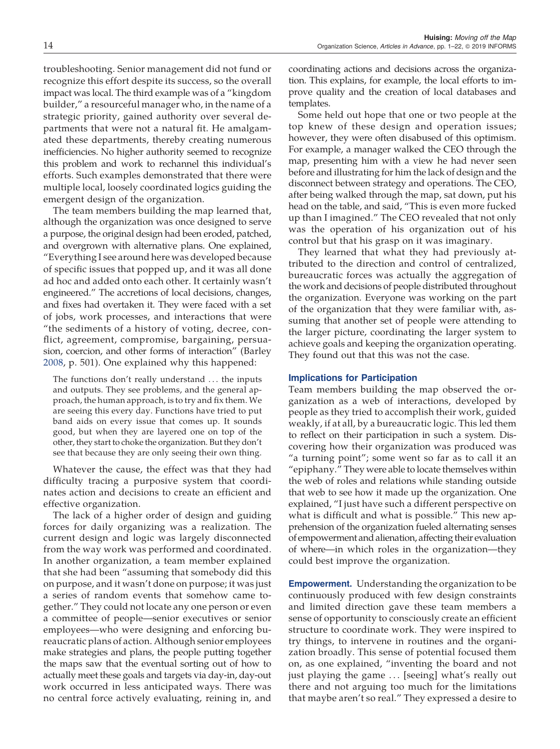troubleshooting. Senior management did not fund or recognize this effort despite its success, so the overall impact was local. The third example was of a "kingdom builder," a resourceful manager who, in the name of a strategic priority, gained authority over several departments that were not a natural fit. He amalgamated these departments, thereby creating numerous inefficiencies. No higher authority seemed to recognize this problem and work to rechannel this individual's efforts. Such examples demonstrated that there were multiple local, loosely coordinated logics guiding the emergent design of the organization.

The team members building the map learned that, although the organization was once designed to serve a purpose, the original design had been eroded, patched, and overgrown with alternative plans. One explained, "Everything I see around here was developed because of specific issues that popped up, and it was all done ad hoc and added onto each other. It certainly wasn't engineered." The accretions of local decisions, changes, and fixes had overtaken it. They were faced with a set of jobs, work processes, and interactions that were "the sediments of a history of voting, decree, conflict, agreement, compromise, bargaining, persuasion, coercion, and other forms of interaction" (Barley 2008, p. 501). One explained why this happened:

The functions don't really understand . . . the inputs and outputs. They see problems, and the general approach, the human approach, is to try and fix them. We are seeing this every day. Functions have tried to put band aids on every issue that comes up. It sounds good, but when they are layered one on top of the other, they start to choke the organization. But they don't see that because they are only seeing their own thing.

Whatever the cause, the effect was that they had difficulty tracing a purposive system that coordinates action and decisions to create an efficient and effective organization.

The lack of a higher order of design and guiding forces for daily organizing was a realization. The current design and logic was largely disconnected from the way work was performed and coordinated. In another organization, a team member explained that she had been "assuming that somebody did this on purpose, and it wasn't done on purpose; it was just a series of random events that somehow came together." They could not locate any one person or even a committee of people—senior executives or senior employees—who were designing and enforcing bureaucratic plans of action. Although senior employees make strategies and plans, the people putting together the maps saw that the eventual sorting out of how to actually meet these goals and targets via day-in, day-out work occurred in less anticipated ways. There was no central force actively evaluating, reining in, and coordinating actions and decisions across the organization. This explains, for example, the local efforts to improve quality and the creation of local databases and templates.

Some held out hope that one or two people at the top knew of these design and operation issues; however, they were often disabused of this optimism. For example, a manager walked the CEO through the map, presenting him with a view he had never seen before and illustrating for him the lack of design and the disconnect between strategy and operations. The CEO, after being walked through the map, sat down, put his head on the table, and said, "This is even more fucked up than I imagined." The CEO revealed that not only was the operation of his organization out of his control but that his grasp on it was imaginary.

They learned that what they had previously attributed to the direction and control of centralized, bureaucratic forces was actually the aggregation of the work and decisions of people distributed throughout the organization. Everyone was working on the part of the organization that they were familiar with, assuming that another set of people were attending to the larger picture, coordinating the larger system to achieve goals and keeping the organization operating. They found out that this was not the case.

## Implications for Participation

Team members building the map observed the organization as a web of interactions, developed by people as they tried to accomplish their work, guided weakly, if at all, by a bureaucratic logic. This led them to reflect on their participation in such a system. Discovering how their organization was produced was "a turning point"; some went so far as to call it an "epiphany." They were able to locate themselves within the web of roles and relations while standing outside that web to see how it made up the organization. One explained, "I just have such a different perspective on what is difficult and what is possible." This new apprehension of the organization fueled alternating senses of empowerment and alienation, affecting their evaluation of where—in which roles in the organization—they could best improve the organization.

**Empowerment.** Understanding the organization to be continuously produced with few design constraints and limited direction gave these team members a sense of opportunity to consciously create an efficient structure to coordinate work. They were inspired to try things, to intervene in routines and the organization broadly. This sense of potential focused them on, as one explained, "inventing the board and not just playing the game . . . [seeing] what's really out there and not arguing too much for the limitations that maybe aren't so real." They expressed a desire to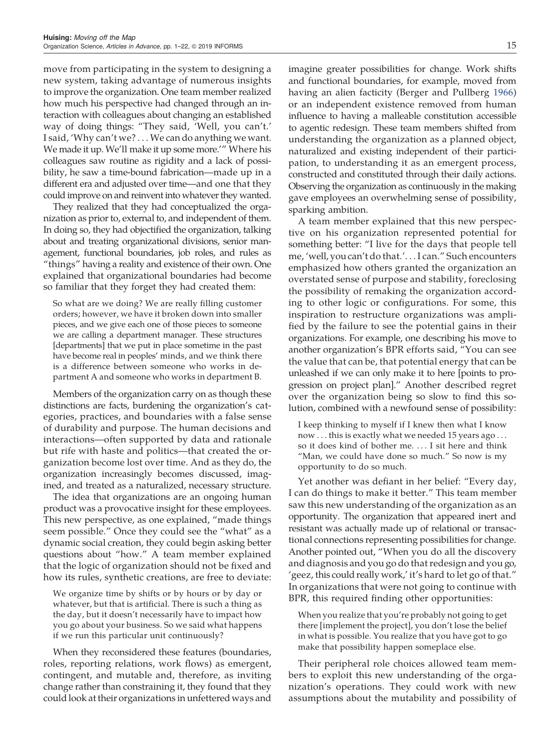move from participating in the system to designing a new system, taking advantage of numerous insights to improve the organization. One team member realized how much his perspective had changed through an interaction with colleagues about changing an established way of doing things: "They said, 'Well, you can't.' I said, 'Why can't we? . . . We can do anything we want. We made it up. We'll make it up some more.'" Where his colleagues saw routine as rigidity and a lack of possibility, he saw a time-bound fabrication—made up in a different era and adjusted over time—and one that they could improve on and reinvent into whatever they wanted.

They realized that they had conceptualized the organization as prior to, external to, and independent of them. In doing so, they had objectified the organization, talking about and treating organizational divisions, senior management, functional boundaries, job roles, and rules as "things" having a reality and existence of their own. One explained that organizational boundaries had become so familiar that they forget they had created them:

So what are we doing? We are really filling customer orders; however, we have it broken down into smaller pieces, and we give each one of those pieces to someone we are calling a department manager. These structures [departments] that we put in place sometime in the past have become real in peoples' minds, and we think there is a difference between someone who works in department A and someone who works in department B.

Members of the organization carry on as though these distinctions are facts, burdening the organization's categories, practices, and boundaries with a false sense of durability and purpose. The human decisions and interactions—often supported by data and rationale but rife with haste and politics—that created the organization become lost over time. And as they do, the organization increasingly becomes discussed, imagined, and treated as a naturalized, necessary structure.

The idea that organizations are an ongoing human product was a provocative insight for these employees. This new perspective, as one explained, "made things seem possible." Once they could see the "what" as a dynamic social creation, they could begin asking better questions about "how." A team member explained that the logic of organization should not be fixed and how its rules, synthetic creations, are free to deviate:

We organize time by shifts or by hours or by day or whatever, but that is artificial. There is such a thing as the day, but it doesn't necessarily have to impact how you go about your business. So we said what happens if we run this particular unit continuously?

When they reconsidered these features (boundaries, roles, reporting relations, work flows) as emergent, contingent, and mutable and, therefore, as inviting change rather than constraining it, they found that they could look at their organizations in unfettered ways and

imagine greater possibilities for change. Work shifts and functional boundaries, for example, moved from having an alien facticity (Berger and Pullberg 1966) or an independent existence removed from human influence to having a malleable constitution accessible to agentic redesign. These team members shifted from understanding the organization as a planned object, naturalized and existing independent of their participation, to understanding it as an emergent process, constructed and constituted through their daily actions. Observing the organization as continuously in the making gave employees an overwhelming sense of possibility, sparking ambition.

A team member explained that this new perspective on his organization represented potential for something better: "I live for the days that people tell me, 'well, you can't do that.'. . . I can." Such encounters emphasized how others granted the organization an overstated sense of purpose and stability, foreclosing the possibility of remaking the organization according to other logic or configurations. For some, this inspiration to restructure organizations was amplified by the failure to see the potential gains in their organizations. For example, one describing his move to another organization's BPR efforts said, "You can see the value that can be, that potential energy that can be unleashed if we can only make it to here [points to progression on project plan]." Another described regret over the organization being so slow to find this solution, combined with a newfound sense of possibility:

I keep thinking to myself if I knew then what I know now . . . this is exactly what we needed 15 years ago . . . so it does kind of bother me. . . . I sit here and think "Man, we could have done so much." So now is my opportunity to do so much.

Yet another was defiant in her belief: "Every day, I can do things to make it better." This team member saw this new understanding of the organization as an opportunity. The organization that appeared inert and resistant was actually made up of relational or transactional connections representing possibilities for change. Another pointed out, "When you do all the discovery and diagnosis and you go do that redesign and you go, 'geez, this could really work,' it's hard to let go of that." In organizations that were not going to continue with BPR, this required finding other opportunities:

When you realize that you're probably not going to get there [implement the project], you don't lose the belief in what is possible. You realize that you have got to go make that possibility happen someplace else.

Their peripheral role choices allowed team members to exploit this new understanding of the organization's operations. They could work with new assumptions about the mutability and possibility of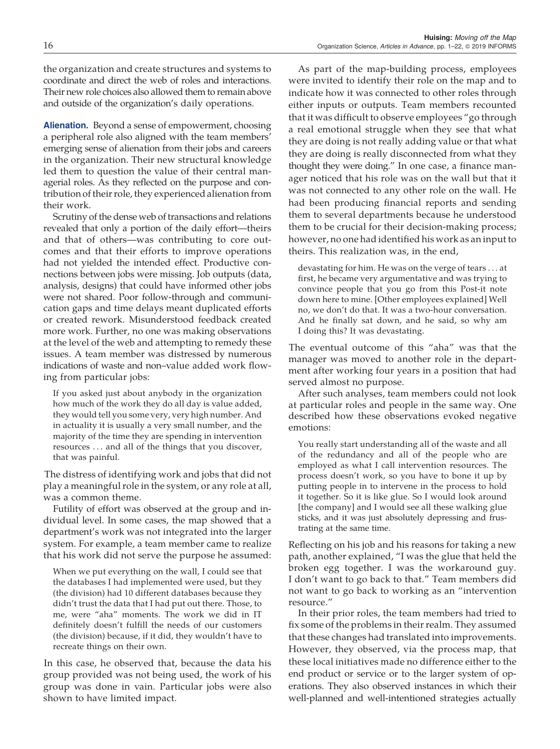the organization and create structures and systems to coordinate and direct the web of roles and interactions. Their new role choices also allowed them to remain above and outside of the organization's daily operations.

**Alienation.** Beyond a sense of empowerment, choosing a peripheral role also aligned with the team members' emerging sense of alienation from their jobs and careers in the organization. Their new structural knowledge led them to question the value of their central managerial roles. As they reflected on the purpose and contribution of their role, they experienced alienation from their work.

Scrutiny of the dense web of transactions and relations revealed that only a portion of the daily effort—theirs and that of others—was contributing to core outcomes and that their efforts to improve operations had not yielded the intended effect. Productive connections between jobs were missing. Job outputs (data, analysis, designs) that could have informed other jobs were not shared. Poor follow-through and communication gaps and time delays meant duplicated efforts or created rework. Misunderstood feedback created more work. Further, no one was making observations at the level of the web and attempting to remedy these issues. A team member was distressed by numerous indications of waste and non–value added work flowing from particular jobs:

If you asked just about anybody in the organization how much of the work they do all day is value added, they would tell you some very, very high number. And in actuality it is usually a very small number, and the majority of the time they are spending in intervention resources . . . and all of the things that you discover, that was painful.

The distress of identifying work and jobs that did not play a meaningful role in the system, or any role at all, was a common theme.

Futility of effort was observed at the group and individual level. In some cases, the map showed that a department's work was not integrated into the larger system. For example, a team member came to realize that his work did not serve the purpose he assumed:

When we put everything on the wall, I could see that the databases I had implemented were used, but they (the division) had 10 different databases because they didn't trust the data that I had put out there. Those, to me, were "aha" moments. The work we did in IT definitely doesn't fulfill the needs of our customers (the division) because, if it did, they wouldn't have to recreate things on their own.

In this case, he observed that, because the data his group provided was not being used, the work of his group was done in vain. Particular jobs were also shown to have limited impact.

As part of the map-building process, employees were invited to identify their role on the map and to indicate how it was connected to other roles through either inputs or outputs. Team members recounted that it was difficult to observe employees "go through a real emotional struggle when they see that what they are doing is not really adding value or that what they are doing is really disconnected from what they thought they were doing." In one case, a finance manager noticed that his role was on the wall but that it was not connected to any other role on the wall. He had been producing financial reports and sending them to several departments because he understood them to be crucial for their decision-making process; however, no one had identified his work as an input to theirs. This realization was, in the end,

devastating for him. He was on the verge of tears . . . at first, he became very argumentative and was trying to convince people that you go from this Post-it note down here to mine. [Other employees explained] Well no, we don't do that. It was a two-hour conversation. And he finally sat down, and he said, so why am I doing this? It was devastating.

The eventual outcome of this "aha" was that the manager was moved to another role in the department after working four years in a position that had served almost no purpose.

After such analyses, team members could not look at particular roles and people in the same way. One described how these observations evoked negative emotions:

You really start understanding all of the waste and all of the redundancy and all of the people who are employed as what I call intervention resources. The process doesn't work, so you have to bone it up by putting people in to intervene in the process to hold it together. So it is like glue. So I would look around [the company] and I would see all these walking glue sticks, and it was just absolutely depressing and frustrating at the same time.

Reflecting on his job and his reasons for taking a new path, another explained, "I was the glue that held the broken egg together. I was the workaround guy. I don't want to go back to that." Team members did not want to go back to working as an "intervention resource."

In their prior roles, the team members had tried to fix some of the problems in their realm. They assumed that these changes had translated into improvements. However, they observed, via the process map, that these local initiatives made no difference either to the end product or service or to the larger system of operations. They also observed instances in which their well-planned and well-intentioned strategies actually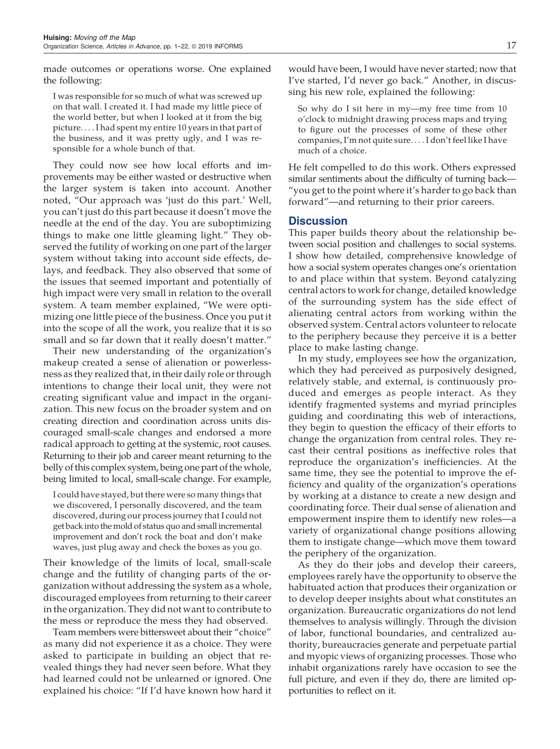made outcomes or operations worse. One explained the following:

I was responsible for so much of what was screwed up on that wall. I created it. I had made my little piece of the world better, but when I looked at it from the big picture. . . . I had spent my entire 10 years in that part of the business, and it was pretty ugly, and I was responsible for a whole bunch of that.

They could now see how local efforts and improvements may be either wasted or destructive when the larger system is taken into account. Another noted, "Our approach was 'just do this part.' Well, you can't just do this part because it doesn't move the needle at the end of the day. You are suboptimizing things to make one little gleaming light." They observed the futility of working on one part of the larger system without taking into account side effects, delays, and feedback. They also observed that some of the issues that seemed important and potentially of high impact were very small in relation to the overall system. A team member explained, "We were optimizing one little piece of the business. Once you put it into the scope of all the work, you realize that it is so small and so far down that it really doesn't matter."

Their new understanding of the organization's makeup created a sense of alienation or powerlessness as they realized that, in their daily role or through intentions to change their local unit, they were not creating significant value and impact in the organization. This new focus on the broader system and on creating direction and coordination across units discouraged small-scale changes and endorsed a more radical approach to getting at the systemic, root causes. Returning to their job and career meant returning to the belly of this complex system, being one part of the whole, being limited to local, small-scale change. For example,

I could have stayed, but there were so many things that we discovered, I personally discovered, and the team discovered, during our process journey that I could not get back into the mold of status quo and small incremental improvement and don't rock the boat and don't make waves, just plug away and check the boxes as you go.

Their knowledge of the limits of local, small-scale change and the futility of changing parts of the organization without addressing the system as a whole, discouraged employees from returning to their career in the organization. They did not want to contribute to the mess or reproduce the mess they had observed.

Team members were bittersweet about their "choice" as many did not experience it as a choice. They were asked to participate in building an object that revealed things they had never seen before. What they had learned could not be unlearned or ignored. One explained his choice: "If I'd have known how hard it

would have been, I would have never started; now that I've started, I'd never go back." Another, in discussing his new role, explained the following:

So why do I sit here in my—my free time from 10 o'clock to midnight drawing process maps and trying to figure out the processes of some of these other companies, I'm not quite sure. . . . I don't feel like I have much of a choice.

He felt compelled to do this work. Others expressed similar sentiments about the difficulty of turning back— "you get to the point where it's harder to go back than forward"—and returning to their prior careers.

# Discussion

This paper builds theory about the relationship between social position and challenges to social systems. I show how detailed, comprehensive knowledge of how a social system operates changes one's orientation to and place within that system. Beyond catalyzing central actors to work for change, detailed knowledge of the surrounding system has the side effect of alienating central actors from working within the observed system. Central actors volunteer to relocate to the periphery because they perceive it is a better place to make lasting change.

In my study, employees see how the organization, which they had perceived as purposively designed, relatively stable, and external, is continuously produced and emerges as people interact. As they identify fragmented systems and myriad principles guiding and coordinating this web of interactions, they begin to question the efficacy of their efforts to change the organization from central roles. They recast their central positions as ineffective roles that reproduce the organization's inefficiencies. At the same time, they see the potential to improve the efficiency and quality of the organization's operations by working at a distance to create a new design and coordinating force. Their dual sense of alienation and empowerment inspire them to identify new roles—a variety of organizational change positions allowing them to instigate change—which move them toward the periphery of the organization.

As they do their jobs and develop their careers, employees rarely have the opportunity to observe the habituated action that produces their organization or to develop deeper insights about what constitutes an organization. Bureaucratic organizations do not lend themselves to analysis willingly. Through the division of labor, functional boundaries, and centralized authority, bureaucracies generate and perpetuate partial and myopic views of organizing processes. Those who inhabit organizations rarely have occasion to see the full picture, and even if they do, there are limited opportunities to reflect on it.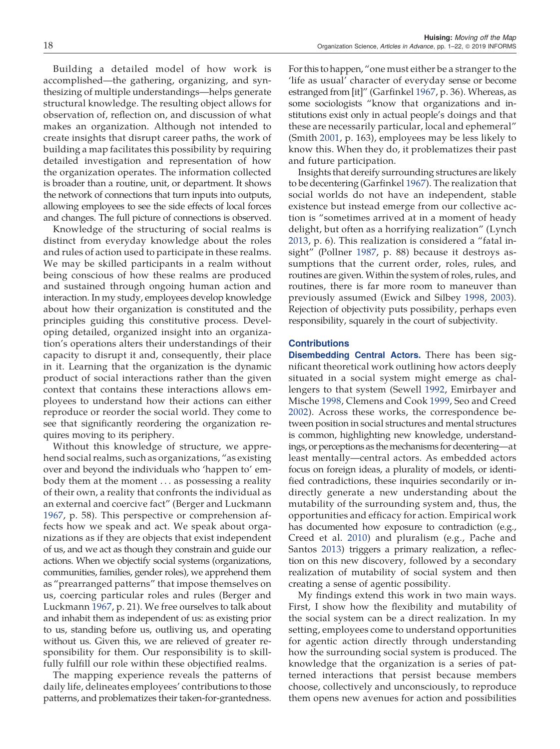Building a detailed model of how work is accomplished—the gathering, organizing, and synthesizing of multiple understandings—helps generate structural knowledge. The resulting object allows for observation of, reflection on, and discussion of what makes an organization. Although not intended to create insights that disrupt career paths, the work of building a map facilitates this possibility by requiring detailed investigation and representation of how the organization operates. The information collected is broader than a routine, unit, or department. It shows the network of connections that turn inputs into outputs, allowing employees to see the side effects of local forces and changes. The full picture of connections is observed.

Knowledge of the structuring of social realms is distinct from everyday knowledge about the roles and rules of action used to participate in these realms. We may be skilled participants in a realm without being conscious of how these realms are produced and sustained through ongoing human action and interaction. In my study, employees develop knowledge about how their organization is constituted and the principles guiding this constitutive process. Developing detailed, organized insight into an organization's operations alters their understandings of their capacity to disrupt it and, consequently, their place in it. Learning that the organization is the dynamic product of social interactions rather than the given context that contains these interactions allows employees to understand how their actions can either reproduce or reorder the social world. They come to see that significantly reordering the organization requires moving to its periphery.

Without this knowledge of structure, we apprehend social realms, such as organizations, "as existing over and beyond the individuals who 'happen to' embody them at the moment . . . as possessing a reality of their own, a reality that confronts the individual as an external and coercive fact" (Berger and Luckmann 1967, p. 58). This perspective or comprehension affects how we speak and act. We speak about organizations as if they are objects that exist independent of us, and we act as though they constrain and guide our actions. When we objectify social systems (organizations, communities, families, gender roles), we apprehend them as "prearranged patterns" that impose themselves on us, coercing particular roles and rules (Berger and Luckmann 1967, p. 21). We free ourselves to talk about and inhabit them as independent of us: as existing prior to us, standing before us, outliving us, and operating without us. Given this, we are relieved of greater responsibility for them. Our responsibility is to skillfully fulfill our role within these objectified realms.

The mapping experience reveals the patterns of daily life, delineates employees' contributions to those patterns, and problematizes their taken-for-grantedness.

For this to happen, "one must either be a stranger to the 'life as usual' character of everyday sense or become estranged from [it]" (Garfinkel 1967, p. 36). Whereas, as some sociologists "know that organizations and institutions exist only in actual people's doings and that these are necessarily particular, local and ephemeral" (Smith 2001, p. 163), employees may be less likely to know this. When they do, it problematizes their past and future participation.

Insights that dereify surrounding structures are likely to be decentering (Garfinkel 1967). The realization that social worlds do not have an independent, stable existence but instead emerge from our collective action is "sometimes arrived at in a moment of heady delight, but often as a horrifying realization" (Lynch 2013, p. 6). This realization is considered a "fatal insight" (Pollner 1987, p. 88) because it destroys assumptions that the current order, roles, rules, and routines are given. Within the system of roles, rules, and routines, there is far more room to maneuver than previously assumed (Ewick and Silbey 1998, 2003). Rejection of objectivity puts possibility, perhaps even responsibility, squarely in the court of subjectivity.

#### **Contributions**

Disembedding Central Actors. There has been significant theoretical work outlining how actors deeply situated in a social system might emerge as challengers to that system (Sewell 1992, Emirbayer and Mische 1998, Clemens and Cook 1999, Seo and Creed 2002). Across these works, the correspondence between position in social structures and mental structures is common, highlighting new knowledge, understandings, or perceptions as the mechanisms for decentering—at least mentally—central actors. As embedded actors focus on foreign ideas, a plurality of models, or identified contradictions, these inquiries secondarily or indirectly generate a new understanding about the mutability of the surrounding system and, thus, the opportunities and efficacy for action. Empirical work has documented how exposure to contradiction (e.g., Creed et al. 2010) and pluralism (e.g., Pache and Santos 2013) triggers a primary realization, a reflection on this new discovery, followed by a secondary realization of mutability of social system and then creating a sense of agentic possibility.

My findings extend this work in two main ways. First, I show how the flexibility and mutability of the social system can be a direct realization. In my setting, employees come to understand opportunities for agentic action directly through understanding how the surrounding social system is produced. The knowledge that the organization is a series of patterned interactions that persist because members choose, collectively and unconsciously, to reproduce them opens new avenues for action and possibilities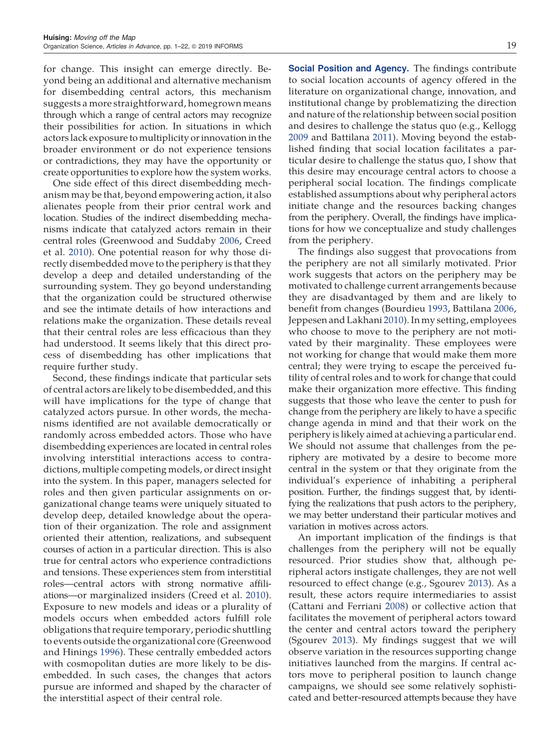for change. This insight can emerge directly. Beyond being an additional and alternative mechanism for disembedding central actors, this mechanism suggests a more straightforward, homegrown means through which a range of central actors may recognize their possibilities for action. In situations in which actors lack exposure to multiplicity or innovation in the broader environment or do not experience tensions or contradictions, they may have the opportunity or create opportunities to explore how the system works.

One side effect of this direct disembedding mechanism may be that, beyond empowering action, it also alienates people from their prior central work and location. Studies of the indirect disembedding mechanisms indicate that catalyzed actors remain in their central roles (Greenwood and Suddaby 2006, Creed et al. 2010). One potential reason for why those directly disembedded move to the periphery is that they develop a deep and detailed understanding of the surrounding system. They go beyond understanding that the organization could be structured otherwise and see the intimate details of how interactions and relations make the organization. These details reveal that their central roles are less efficacious than they had understood. It seems likely that this direct process of disembedding has other implications that require further study.

Second, these findings indicate that particular sets of central actors are likely to be disembedded, and this will have implications for the type of change that catalyzed actors pursue. In other words, the mechanisms identified are not available democratically or randomly across embedded actors. Those who have disembedding experiences are located in central roles involving interstitial interactions access to contradictions, multiple competing models, or direct insight into the system. In this paper, managers selected for roles and then given particular assignments on organizational change teams were uniquely situated to develop deep, detailed knowledge about the operation of their organization. The role and assignment oriented their attention, realizations, and subsequent courses of action in a particular direction. This is also true for central actors who experience contradictions and tensions. These experiences stem from interstitial roles—central actors with strong normative affiliations—or marginalized insiders (Creed et al. 2010). Exposure to new models and ideas or a plurality of models occurs when embedded actors fulfill role obligations that require temporary, periodic shuttling to events outside the organizational core (Greenwood and Hinings 1996). These centrally embedded actors with cosmopolitan duties are more likely to be disembedded. In such cases, the changes that actors pursue are informed and shaped by the character of the interstitial aspect of their central role.

Social Position and Agency. The findings contribute to social location accounts of agency offered in the literature on organizational change, innovation, and institutional change by problematizing the direction and nature of the relationship between social position and desires to challenge the status quo (e.g., Kellogg 2009 and Battilana 2011). Moving beyond the established finding that social location facilitates a particular desire to challenge the status quo, I show that this desire may encourage central actors to choose a peripheral social location. The findings complicate established assumptions about why peripheral actors initiate change and the resources backing changes from the periphery. Overall, the findings have implications for how we conceptualize and study challenges from the periphery.

The findings also suggest that provocations from the periphery are not all similarly motivated. Prior work suggests that actors on the periphery may be motivated to challenge current arrangements because they are disadvantaged by them and are likely to benefit from changes (Bourdieu 1993, Battilana 2006, Jeppesen and Lakhani 2010). In my setting, employees who choose to move to the periphery are not motivated by their marginality. These employees were not working for change that would make them more central; they were trying to escape the perceived futility of central roles and to work for change that could make their organization more effective. This finding suggests that those who leave the center to push for change from the periphery are likely to have a specific change agenda in mind and that their work on the periphery is likely aimed at achieving a particular end. We should not assume that challenges from the periphery are motivated by a desire to become more central in the system or that they originate from the individual's experience of inhabiting a peripheral position. Further, the findings suggest that, by identifying the realizations that push actors to the periphery, we may better understand their particular motives and variation in motives across actors.

An important implication of the findings is that challenges from the periphery will not be equally resourced. Prior studies show that, although peripheral actors instigate challenges, they are not well resourced to effect change (e.g., Sgourev 2013). As a result, these actors require intermediaries to assist (Cattani and Ferriani 2008) or collective action that facilitates the movement of peripheral actors toward the center and central actors toward the periphery (Sgourev 2013). My findings suggest that we will observe variation in the resources supporting change initiatives launched from the margins. If central actors move to peripheral position to launch change campaigns, we should see some relatively sophisticated and better-resourced attempts because they have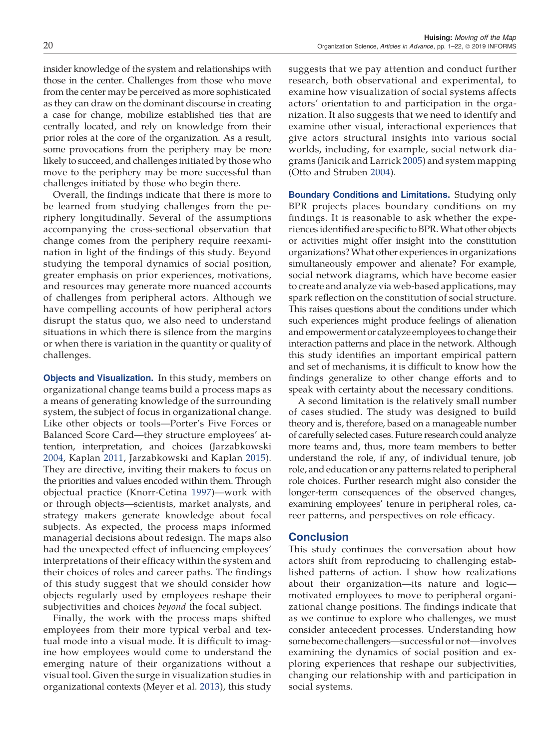insider knowledge of the system and relationships with those in the center. Challenges from those who move from the center may be perceived as more sophisticated as they can draw on the dominant discourse in creating a case for change, mobilize established ties that are centrally located, and rely on knowledge from their prior roles at the core of the organization. As a result, some provocations from the periphery may be more likely to succeed, and challenges initiated by those who move to the periphery may be more successful than challenges initiated by those who begin there.

Overall, the findings indicate that there is more to be learned from studying challenges from the periphery longitudinally. Several of the assumptions accompanying the cross-sectional observation that change comes from the periphery require reexamination in light of the findings of this study. Beyond studying the temporal dynamics of social position, greater emphasis on prior experiences, motivations, and resources may generate more nuanced accounts of challenges from peripheral actors. Although we have compelling accounts of how peripheral actors disrupt the status quo, we also need to understand situations in which there is silence from the margins or when there is variation in the quantity or quality of challenges.

Objects and Visualization. In this study, members on organizational change teams build a process maps as a means of generating knowledge of the surrounding system, the subject of focus in organizational change. Like other objects or tools—Porter's Five Forces or Balanced Score Card—they structure employees' attention, interpretation, and choices (Jarzabkowski 2004, Kaplan 2011, Jarzabkowski and Kaplan 2015). They are directive, inviting their makers to focus on the priorities and values encoded within them. Through objectual practice (Knorr-Cetina 1997)—work with or through objects—scientists, market analysts, and strategy makers generate knowledge about focal subjects. As expected, the process maps informed managerial decisions about redesign. The maps also had the unexpected effect of influencing employees' interpretations of their efficacy within the system and their choices of roles and career paths. The findings of this study suggest that we should consider how objects regularly used by employees reshape their subjectivities and choices *beyond* the focal subject.

Finally, the work with the process maps shifted employees from their more typical verbal and textual mode into a visual mode. It is difficult to imagine how employees would come to understand the emerging nature of their organizations without a visual tool. Given the surge in visualization studies in organizational contexts (Meyer et al. 2013), this study suggests that we pay attention and conduct further research, both observational and experimental, to examine how visualization of social systems affects actors' orientation to and participation in the organization. It also suggests that we need to identify and examine other visual, interactional experiences that give actors structural insights into various social worlds, including, for example, social network diagrams (Janicik and Larrick 2005) and system mapping (Otto and Struben 2004).

Boundary Conditions and Limitations. Studying only BPR projects places boundary conditions on my findings. It is reasonable to ask whether the experiences identified are specific to BPR. What other objects or activities might offer insight into the constitution organizations? What other experiences in organizations simultaneously empower and alienate? For example, social network diagrams, which have become easier to create and analyze via web-based applications, may spark reflection on the constitution of social structure. This raises questions about the conditions under which such experiences might produce feelings of alienation and empowerment or catalyze employees to change their interaction patterns and place in the network. Although this study identifies an important empirical pattern and set of mechanisms, it is difficult to know how the findings generalize to other change efforts and to speak with certainty about the necessary conditions.

A second limitation is the relatively small number of cases studied. The study was designed to build theory and is, therefore, based on a manageable number of carefully selected cases. Future research could analyze more teams and, thus, more team members to better understand the role, if any, of individual tenure, job role, and education or any patterns related to peripheral role choices. Further research might also consider the longer-term consequences of the observed changes, examining employees' tenure in peripheral roles, career patterns, and perspectives on role efficacy.

## **Conclusion**

This study continues the conversation about how actors shift from reproducing to challenging established patterns of action. I show how realizations about their organization—its nature and logic motivated employees to move to peripheral organizational change positions. The findings indicate that as we continue to explore who challenges, we must consider antecedent processes. Understanding how some become challengers—successful or not—involves examining the dynamics of social position and exploring experiences that reshape our subjectivities, changing our relationship with and participation in social systems.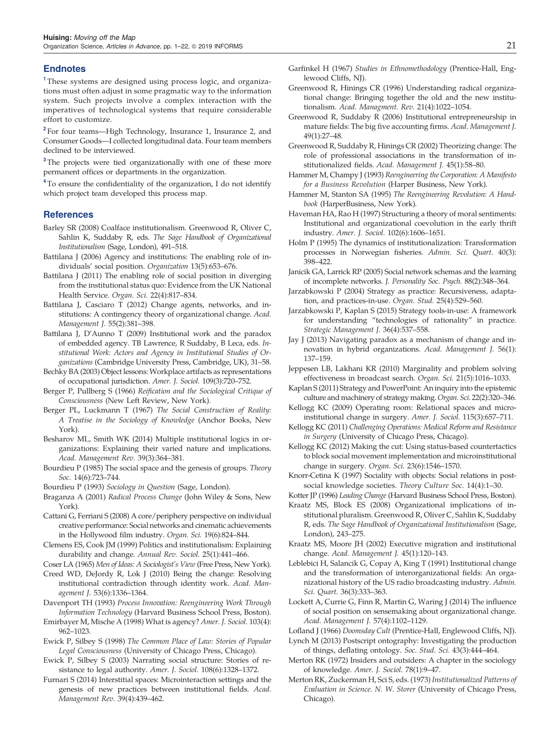#### Endnotes

<sup>1</sup>These systems are designed using process logic, and organizations must often adjust in some pragmatic way to the information system. Such projects involve a complex interaction with the imperatives of technological systems that require considerable effort to customize.

<sup>2</sup> For four teams—High Technology, Insurance 1, Insurance 2, and Consumer Goods—I collected longitudinal data. Four team members declined to be interviewed.

<sup>3</sup>The projects were tied organizationally with one of these more permanent offices or departments in the organization.

<sup>4</sup>To ensure the confidentiality of the organization, I do not identify which project team developed this process map.

#### **References**

- Barley SR (2008) Coalface institutionalism. Greenwood R, Oliver C, Sahlin K, Suddaby R, eds. *The Sage Handbook of Organizational Institutionalism* (Sage, London), 491–518.
- Battilana J (2006) Agency and institutions: The enabling role of individuals' social position. *Organization* 13(5):653–676.
- Battilana J (2011) The enabling role of social position in diverging from the institutional status quo: Evidence from the UK National Health Service. *Organ. Sci.* 22(4):817–834.
- Battilana J, Casciaro T (2012) Change agents, networks, and institutions: A contingency theory of organizational change. *Acad. Management J.* 55(2):381–398.
- Battilana J, D'Aunno T (2009) Institutional work and the paradox of embedded agency. TB Lawrence, R Suddaby, B Leca, eds. *Institutional Work: Actors and Agency in Institutional Studies of Organizations* (Cambridge University Press, Cambridge, UK), 31–58.
- Bechky BA (2003) Object lessons: Workplace artifacts as representations of occupational jurisdiction. *Amer. J. Sociol.* 109(3):720–752.
- Berger P, Pullberg S (1966) *Rei*fi*cation and the Sociological Critique of Consciousness* (New Left Review, New York).
- Berger PL, Luckmann T (1967) *The Social Construction of Reality: A Treatise in the Sociology of Knowledge* (Anchor Books, New York).
- Besharov ML, Smith WK (2014) Multiple institutional logics in organizations: Explaining their varied nature and implications. *Acad. Management Rev.* 39(3):364–381.
- Bourdieu P (1985) The social space and the genesis of groups. *Theory Soc.* 14(6):723–744.
- Bourdieu P (1993) *Sociology in Question* (Sage, London).
- Braganza A (2001) *Radical Process Change* (John Wiley & Sons, New York).
- Cattani G, Ferriani S (2008) A core/periphery perspective on individual creative performance: Social networks and cinematic achievements in the Hollywood film industry. *Organ. Sci.* 19(6):824–844.
- Clemens ES, Cook JM (1999) Politics and institutionalism: Explaining durability and change. *Annual Rev. Sociol.* 25(1):441–466.
- Coser LA (1965) *Men of Ideas: A Sociologist*'*s View* (Free Press, New York).
- Creed WD, DeJordy R, Lok J (2010) Being the change: Resolving institutional contradiction through identity work. *Acad. Management J.* 53(6):1336–1364.
- Davenport TH (1993) *Process Innovation: Reengineering Work Through Information Technology* (Harvard Business School Press, Boston).
- Emirbayer M, Mische A (1998) What is agency? *Amer. J. Sociol.* 103(4): 962–1023.
- Ewick P, Silbey S (1998) *The Common Place of Law: Stories of Popular Legal Consciousness* (University of Chicago Press, Chicago).
- Ewick P, Silbey S (2003) Narrating social structure: Stories of resistance to legal authority. *Amer. J. Sociol.* 108(6):1328–1372.
- Furnari S (2014) Interstitial spaces: Microinteraction settings and the genesis of new practices between institutional fields. *Acad. Management Rev.* 39(4):439–462.
- Garfinkel H (1967) *Studies in Ethnomethodology* (Prentice-Hall, Englewood Cliffs, NJ).
- Greenwood R, Hinings CR (1996) Understanding radical organizational change: Bringing together the old and the new institutionalism. *Acad. Managment. Rev.* 21(4):1022–1054.
- Greenwood R, Suddaby R (2006) Institutional entrepreneurship in mature fields: The big five accounting firms. *Acad. Management J.* 49(1):27–48.
- Greenwood R, Suddaby R, Hinings CR (2002) Theorizing change: The role of professional associations in the transformation of institutionalized fields. *Acad. Management J.* 45(1):58–80.
- Hammer M, Champy J (1993) *Reengineering the Corporation: A Manifesto for a Business Revolution* (Harper Business, New York).
- Hammer M, Stanton SA (1995) *The Reengineering Revolution: A Handbook* (HarperBusiness, New York).
- Haveman HA, Rao H (1997) Structuring a theory of moral sentiments: Institutional and organizational coevolution in the early thrift industry. *Amer. J. Sociol.* 102(6):1606–1651.
- Holm P (1995) The dynamics of institutionalization: Transformation processes in Norwegian fisheries. *Admin. Sci. Quart*. 40(3): 398–422.
- Janicik GA, Larrick RP (2005) Social network schemas and the learning of incomplete networks. *J. Personality Soc. Psych.* 88(2):348–364.
- Jarzabkowski P (2004) Strategy as practice: Recursiveness, adaptation, and practices-in-use. *Organ. Stud.* 25(4):529–560.
- Jarzabkowski P, Kaplan S (2015) Strategy tools-in-use: A framework for understanding "technologies of rationality" in practice. *Strategic Management J.* 36(4):537–558.
- Jay J (2013) Navigating paradox as a mechanism of change and innovation in hybrid organizations. *Acad. Management J.* 56(1): 137–159.
- Jeppesen LB, Lakhani KR (2010) Marginality and problem solving effectiveness in broadcast search. *Organ. Sci.* 21(5):1016–1033.
- Kaplan S (2011) Strategy and PowerPoint: An inquiry into the epistemic culture and machinery of strategy making. *Organ. Sci.* 22(2):320–346.
- Kellogg KC (2009) Operating room: Relational spaces and microinstitutional change in surgery. *Amer. J. Sociol.* 115(3):657–711.
- Kellogg KC (2011) *Challenging Operations: Medical Reform and Resistance in Surgery* (University of Chicago Press, Chicago).
- Kellogg KC (2012) Making the cut: Using status-based countertactics to block social movement implementation and microinstitutional change in surgery. *Organ. Sci.* 23(6):1546–1570.
- Knorr-Cetina K (1997) Sociality with objects: Social relations in postsocial knowledge societies. *Theory Culture Soc.* 14(4):1–30.
- Kotter JP (1996) *Leading Change* (Harvard Business School Press, Boston).
- Kraatz MS, Block ES (2008) Organizational implications of institutional pluralism. Greenwood R, Oliver C, Sahlin K, Suddaby R, eds. *The Sage Handbook of Organizational Institutionalism* (Sage, London), 243–275.
- Kraatz MS, Moore JH (2002) Executive migration and institutional change. *Acad. Management J.* 45(1):120–143.
- Leblebici H, Salancik G, Copay A, King T (1991) Institutional change and the transformation of interorganizational fields: An organizational history of the US radio broadcasting industry. *Admin. Sci. Quart.* 36(3):333–363.
- Lockett A, Currie G, Finn R, Martin G, Waring J (2014) The influence of social position on sensemaking about organizational change. *Acad. Management J.* 57(4):1102–1129.
- Lofland J (1966) *Doomsday Cult* (Prentice-Hall, Englewood Cliffs, NJ).
- Lynch M (2013) Postscript ontography: Investigating the production of things, deflating ontology. *Soc. Stud. Sci.* 43(3):444–464.
- Merton RK (1972) Insiders and outsiders: A chapter in the sociology of knowledge. *Amer. J. Sociol*. 78(1):9–47.
- Merton RK, Zuckerman H, Sci S, eds. (1973) *Institutionalized Patterns of Evaluation in Science. N. W. Storer* (University of Chicago Press, Chicago).